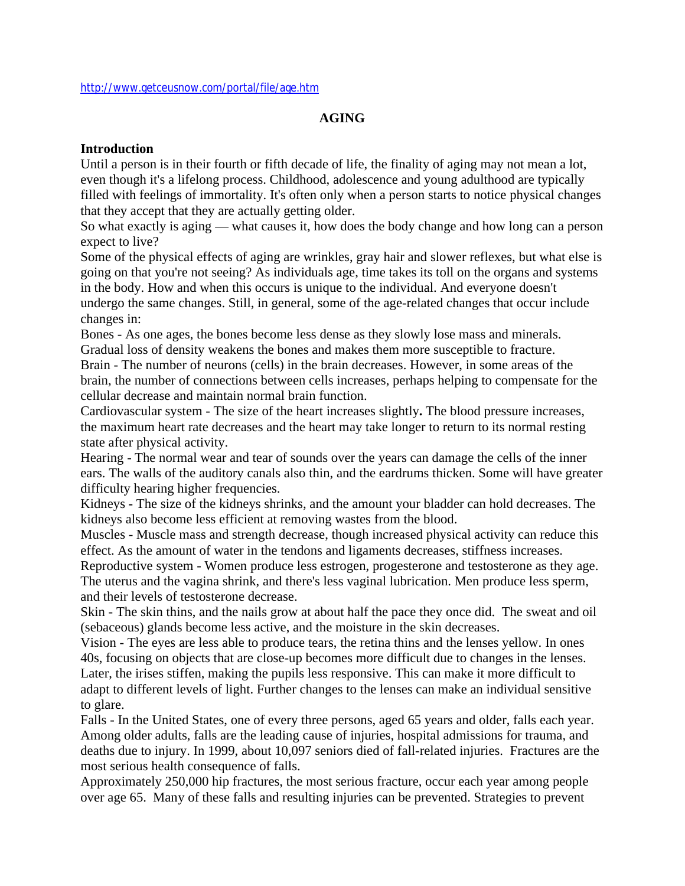#### **AGING**

#### **Introduction**

Until a person is in their fourth or fifth decade of life, the finality of aging may not mean a lot, even though it's a lifelong process. Childhood, adolescence and young adulthood are typically filled with feelings of immortality. It's often only when a person starts to notice physical changes that they accept that they are actually getting older.

So what exactly is aging — what causes it, how does the body change and how long can a person expect to live?

Some of the physical effects of aging are wrinkles, gray hair and slower reflexes, but what else is going on that you're not seeing? As individuals age, time takes its toll on the organs and systems in the body. How and when this occurs is unique to the individual. And everyone doesn't undergo the same changes. Still, in general, some of the age-related changes that occur include changes in:

Bones - As one ages, the bones become less dense as they slowly lose mass and minerals. Gradual loss of density weakens the bones and makes them more susceptible to fracture. Brain - The number of neurons (cells) in the brain decreases. However, in some areas of the

brain, the number of connections between cells increases, perhaps helping to compensate for the cellular decrease and maintain normal brain function.

Cardiovascular system - The size of the heart increases slightly**.** The blood pressure increases, the maximum heart rate decreases and the heart may take longer to return to its normal resting state after physical activity.

Hearing - The normal wear and tear of sounds over the years can damage the cells of the inner ears. The walls of the auditory canals also thin, and the eardrums thicken. Some will have greater difficulty hearing higher frequencies.

Kidneys **-** The size of the kidneys shrinks, and the amount your bladder can hold decreases. The kidneys also become less efficient at removing wastes from the blood.

Muscles - Muscle mass and strength decrease, though increased physical activity can reduce this effect. As the amount of water in the tendons and ligaments decreases, stiffness increases.

Reproductive system - Women produce less estrogen, progesterone and testosterone as they age. The uterus and the vagina shrink, and there's less vaginal lubrication. Men produce less sperm, and their levels of testosterone decrease.

Skin - The skin thins, and the nails grow at about half the pace they once did. The sweat and oil (sebaceous) glands become less active, and the moisture in the skin decreases.

Vision - The eyes are less able to produce tears, the retina thins and the lenses yellow. In ones 40s, focusing on objects that are close-up becomes more difficult due to changes in the lenses. Later, the irises stiffen, making the pupils less responsive. This can make it more difficult to adapt to different levels of light. Further changes to the lenses can make an individual sensitive to glare.

Falls - In the United States, one of every three persons, aged 65 years and older, falls each year. Among older adults, falls are the leading cause of injuries, hospital admissions for trauma, and deaths due to injury. In 1999, about 10,097 seniors died of fall-related injuries. Fractures are the most serious health consequence of falls.

Approximately 250,000 hip fractures, the most serious fracture, occur each year among people over age 65. Many of these falls and resulting injuries can be prevented. Strategies to prevent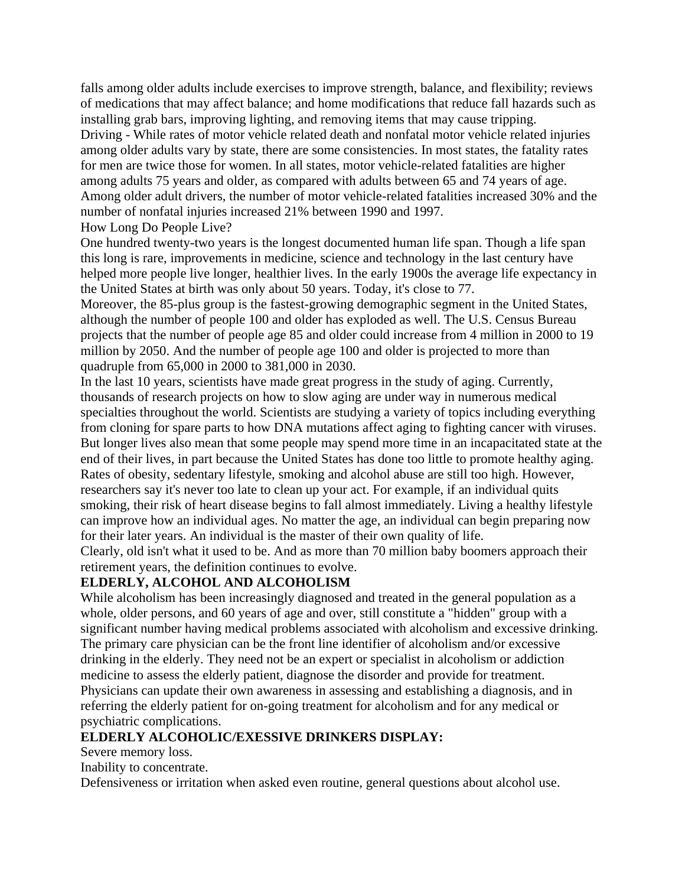falls among older adults include exercises to improve strength, balance, and flexibility; reviews of medications that may affect balance; and home modifications that reduce fall hazards such as installing grab bars, improving lighting, and removing items that may cause tripping. Driving - While rates of motor vehicle related death and nonfatal motor vehicle related injuries among older adults vary by state, there are some consistencies. In most states, the fatality rates for men are twice those for women. In all states, motor vehicle-related fatalities are higher among adults 75 years and older, as compared with adults between 65 and 74 years of age. Among older adult drivers, the number of motor vehicle-related fatalities increased 30% and the number of nonfatal injuries increased 21% between 1990 and 1997.

How Long Do People Live?

One hundred twenty-two years is the longest documented human life span. Though a life span this long is rare, improvements in medicine, science and technology in the last century have helped more people live longer, healthier lives. In the early 1900s the average life expectancy in the United States at birth was only about 50 years. Today, it's close to 77.

Moreover, the 85-plus group is the fastest-growing demographic segment in the United States, although the number of people 100 and older has exploded as well. The U.S. Census Bureau projects that the number of people age 85 and older could increase from 4 million in 2000 to 19 million by 2050. And the number of people age 100 and older is projected to more than quadruple from 65,000 in 2000 to 381,000 in 2030.

In the last 10 years, scientists have made great progress in the study of aging. Currently, thousands of research projects on how to slow aging are under way in numerous medical specialties throughout the world. Scientists are studying a variety of topics including everything from cloning for spare parts to how DNA mutations affect aging to fighting cancer with viruses. But longer lives also mean that some people may spend more time in an incapacitated state at the end of their lives, in part because the United States has done too little to promote healthy aging. Rates of obesity, sedentary lifestyle, smoking and alcohol abuse are still too high. However, researchers say it's never too late to clean up your act. For example, if an individual quits smoking, their risk of heart disease begins to fall almost immediately. Living a healthy lifestyle can improve how an individual ages. No matter the age, an individual can begin preparing now for their later years. An individual is the master of their own quality of life.

Clearly, old isn't what it used to be. And as more than 70 million baby boomers approach their retirement years, the definition continues to evolve.

## **ELDERLY, ALCOHOL AND ALCOHOLISM**

While alcoholism has been increasingly diagnosed and treated in the general population as a whole, older persons, and 60 years of age and over, still constitute a "hidden" group with a significant number having medical problems associated with alcoholism and excessive drinking. The primary care physician can be the front line identifier of alcoholism and/or excessive drinking in the elderly. They need not be an expert or specialist in alcoholism or addiction medicine to assess the elderly patient, diagnose the disorder and provide for treatment. Physicians can update their own awareness in assessing and establishing a diagnosis, and in referring the elderly patient for on-going treatment for alcoholism and for any medical or psychiatric complications.

## **ELDERLY ALCOHOLIC/EXESSIVE DRINKERS DISPLAY:**

Severe memory loss.

Inability to concentrate.

Defensiveness or irritation when asked even routine, general questions about alcohol use.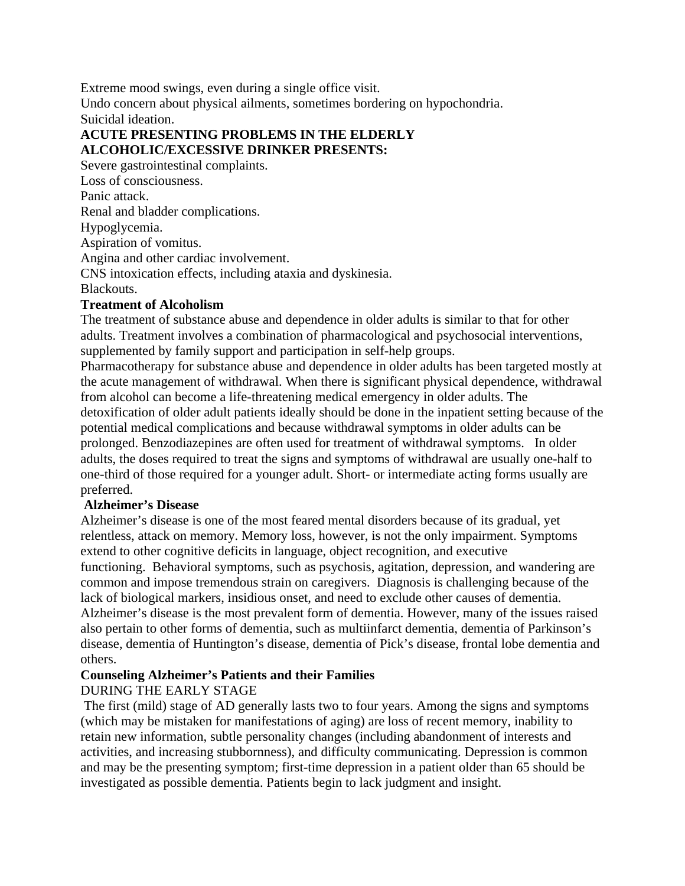Extreme mood swings, even during a single office visit.

Undo concern about physical ailments, sometimes bordering on hypochondria. Suicidal ideation.

## **ACUTE PRESENTING PROBLEMS IN THE ELDERLY ALCOHOLIC/EXCESSIVE DRINKER PRESENTS:**

Severe gastrointestinal complaints.

Loss of consciousness.

Panic attack. Renal and bladder complications. Hypoglycemia. Aspiration of vomitus. Angina and other cardiac involvement. CNS intoxication effects, including ataxia and dyskinesia. Blackouts.

## **Treatment of Alcoholism**

The treatment of substance abuse and dependence in older adults is similar to that for other adults. Treatment involves a combination of pharmacological and psychosocial interventions, supplemented by family support and participation in self-help groups.

Pharmacotherapy for substance abuse and dependence in older adults has been targeted mostly at the acute management of withdrawal. When there is significant physical dependence, withdrawal from alcohol can become a life-threatening medical emergency in older adults. The detoxification of older adult patients ideally should be done in the inpatient setting because of the potential medical complications and because withdrawal symptoms in older adults can be prolonged. Benzodiazepines are often used for treatment of withdrawal symptoms. In older adults, the doses required to treat the signs and symptoms of withdrawal are usually one-half to one-third of those required for a younger adult. Short- or intermediate acting forms usually are preferred.

## **Alzheimer's Disease**

Alzheimer's disease is one of the most feared mental disorders because of its gradual, yet relentless, attack on memory. Memory loss, however, is not the only impairment. Symptoms extend to other cognitive deficits in language, object recognition, and executive functioning. Behavioral symptoms, such as psychosis, agitation, depression, and wandering are common and impose tremendous strain on caregivers. Diagnosis is challenging because of the lack of biological markers, insidious onset, and need to exclude other causes of dementia. Alzheimer's disease is the most prevalent form of dementia. However, many of the issues raised also pertain to other forms of dementia, such as multiinfarct dementia, dementia of Parkinson's disease, dementia of Huntington's disease, dementia of Pick's disease, frontal lobe dementia and others.

## **Counseling Alzheimer's Patients and their Families**

## DURING THE EARLY STAGE

The first (mild) stage of AD generally lasts two to four years. Among the signs and symptoms (which may be mistaken for manifestations of aging) are loss of recent memory, inability to retain new information, subtle personality changes (including abandonment of interests and activities, and increasing stubbornness), and difficulty communicating. Depression is common and may be the presenting symptom; first-time depression in a patient older than 65 should be investigated as possible dementia. Patients begin to lack judgment and insight.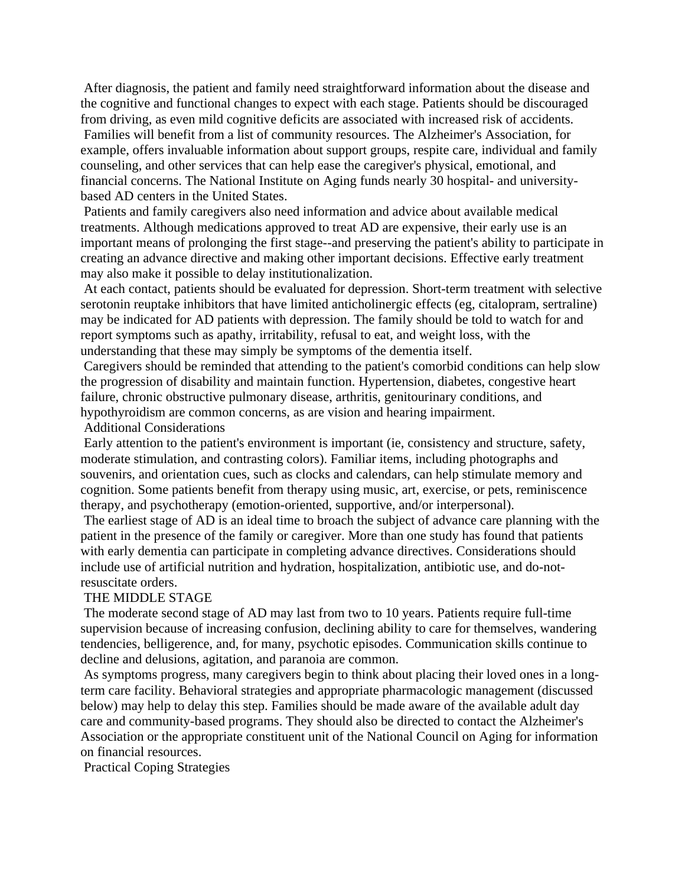After diagnosis, the patient and family need straightforward information about the disease and the cognitive and functional changes to expect with each stage. Patients should be discouraged from driving, as even mild cognitive deficits are associated with increased risk of accidents.

Families will benefit from a list of community resources. The Alzheimer's Association, for example, offers invaluable information about support groups, respite care, individual and family counseling, and other services that can help ease the caregiver's physical, emotional, and financial concerns. The National Institute on Aging funds nearly 30 hospital- and universitybased AD centers in the United States.

Patients and family caregivers also need information and advice about available medical treatments. Although medications approved to treat AD are expensive, their early use is an important means of prolonging the first stage--and preserving the patient's ability to participate in creating an advance directive and making other important decisions. Effective early treatment may also make it possible to delay institutionalization.

At each contact, patients should be evaluated for depression. Short-term treatment with selective serotonin reuptake inhibitors that have limited anticholinergic effects (eg, citalopram, sertraline) may be indicated for AD patients with depression. The family should be told to watch for and report symptoms such as apathy, irritability, refusal to eat, and weight loss, with the understanding that these may simply be symptoms of the dementia itself.

Caregivers should be reminded that attending to the patient's comorbid conditions can help slow the progression of disability and maintain function. Hypertension, diabetes, congestive heart failure, chronic obstructive pulmonary disease, arthritis, genitourinary conditions, and hypothyroidism are common concerns, as are vision and hearing impairment.

Additional Considerations

Early attention to the patient's environment is important (ie, consistency and structure, safety, moderate stimulation, and contrasting colors). Familiar items, including photographs and souvenirs, and orientation cues, such as clocks and calendars, can help stimulate memory and cognition. Some patients benefit from therapy using music, art, exercise, or pets, reminiscence therapy, and psychotherapy (emotion-oriented, supportive, and/or interpersonal).

The earliest stage of AD is an ideal time to broach the subject of advance care planning with the patient in the presence of the family or caregiver. More than one study has found that patients with early dementia can participate in completing advance directives. Considerations should include use of artificial nutrition and hydration, hospitalization, antibiotic use, and do-notresuscitate orders.

#### THE MIDDLE STAGE

The moderate second stage of AD may last from two to 10 years. Patients require full-time supervision because of increasing confusion, declining ability to care for themselves, wandering tendencies, belligerence, and, for many, psychotic episodes. Communication skills continue to decline and delusions, agitation, and paranoia are common.

As symptoms progress, many caregivers begin to think about placing their loved ones in a longterm care facility. Behavioral strategies and appropriate pharmacologic management (discussed below) may help to delay this step. Families should be made aware of the available adult day care and community-based programs. They should also be directed to contact the Alzheimer's Association or the appropriate constituent unit of the National Council on Aging for information on financial resources.

Practical Coping Strategies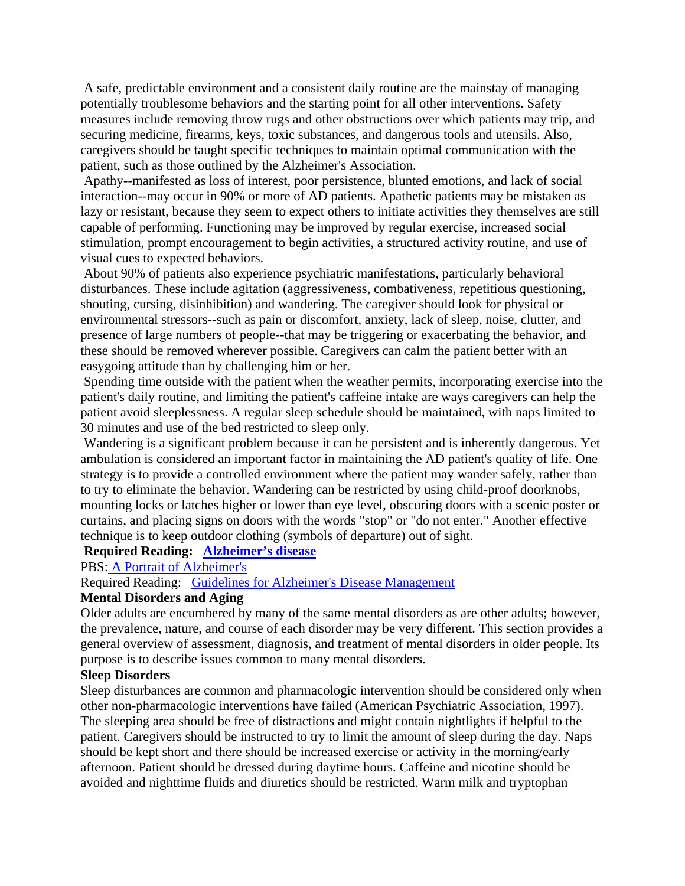A safe, predictable environment and a consistent daily routine are the mainstay of managing potentially troublesome behaviors and the starting point for all other interventions. Safety measures include removing throw rugs and other obstructions over which patients may trip, and securing medicine, firearms, keys, toxic substances, and dangerous tools and utensils. Also, caregivers should be taught specific techniques to maintain optimal communication with the patient, such as those outlined by the Alzheimer's Association.

Apathy--manifested as loss of interest, poor persistence, blunted emotions, and lack of social interaction--may occur in 90% or more of AD patients. Apathetic patients may be mistaken as lazy or resistant, because they seem to expect others to initiate activities they themselves are still capable of performing. Functioning may be improved by regular exercise, increased social stimulation, prompt encouragement to begin activities, a structured activity routine, and use of visual cues to expected behaviors.

About 90% of patients also experience psychiatric manifestations, particularly behavioral disturbances. These include agitation (aggressiveness, combativeness, repetitious questioning, shouting, cursing, disinhibition) and wandering. The caregiver should look for physical or environmental stressors--such as pain or discomfort, anxiety, lack of sleep, noise, clutter, and presence of large numbers of people--that may be triggering or exacerbating the behavior, and these should be removed wherever possible. Caregivers can calm the patient better with an easygoing attitude than by challenging him or her.

Spending time outside with the patient when the weather permits, incorporating exercise into the patient's daily routine, and limiting the patient's caffeine intake are ways caregivers can help the patient avoid sleeplessness. A regular sleep schedule should be maintained, with naps limited to 30 minutes and use of the bed restricted to sleep only.

Wandering is a significant problem because it can be persistent and is inherently dangerous. Yet ambulation is considered an important factor in maintaining the AD patient's quality of life. One strategy is to provide a controlled environment where the patient may wander safely, rather than to try to eliminate the behavior. Wandering can be restricted by using child-proof doorknobs, mounting locks or latches higher or lower than eye level, obscuring doors with a scenic poster or curtains, and placing signs on doors with the words "stop" or "do not enter." Another effective technique is to keep outdoor clothing (symbols of departure) out of sight.

### **Required Reading: Alzheimer's disease**

#### PBS: A Portrait of Alzheimer's

Required Reading: Guidelines for Alzheimer's Disease Management

#### **Mental Disorders and Aging**

Older adults are encumbered by many of the same mental disorders as are other adults; however, the prevalence, nature, and course of each disorder may be very different. This section provides a general overview of assessment, diagnosis, and treatment of mental disorders in older people. Its purpose is to describe issues common to many mental disorders.

#### **Sleep Disorders**

Sleep disturbances are common and pharmacologic intervention should be considered only when other non-pharmacologic interventions have failed (American Psychiatric Association, 1997). The sleeping area should be free of distractions and might contain nightlights if helpful to the patient. Caregivers should be instructed to try to limit the amount of sleep during the day. Naps should be kept short and there should be increased exercise or activity in the morning/early afternoon. Patient should be dressed during daytime hours. Caffeine and nicotine should be avoided and nighttime fluids and diuretics should be restricted. Warm milk and tryptophan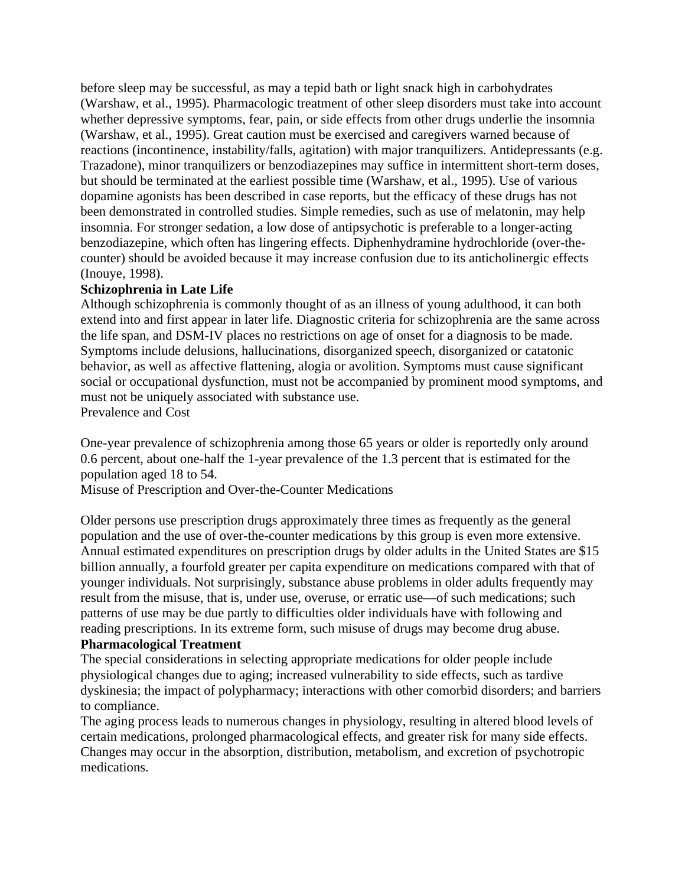before sleep may be successful, as may a tepid bath or light snack high in carbohydrates (Warshaw, et al., 1995). Pharmacologic treatment of other sleep disorders must take into account whether depressive symptoms, fear, pain, or side effects from other drugs underlie the insomnia (Warshaw, et al., 1995). Great caution must be exercised and caregivers warned because of reactions (incontinence, instability/falls, agitation) with major tranquilizers. Antidepressants (e.g. Trazadone), minor tranquilizers or benzodiazepines may suffice in intermittent short-term doses, but should be terminated at the earliest possible time (Warshaw, et al., 1995). Use of various dopamine agonists has been described in case reports, but the efficacy of these drugs has not been demonstrated in controlled studies. Simple remedies, such as use of melatonin, may help insomnia. For stronger sedation, a low dose of antipsychotic is preferable to a longer-acting benzodiazepine, which often has lingering effects. Diphenhydramine hydrochloride (over-thecounter) should be avoided because it may increase confusion due to its anticholinergic effects (Inouye, 1998).

#### **Schizophrenia in Late Life**

Although schizophrenia is commonly thought of as an illness of young adulthood, it can both extend into and first appear in later life. Diagnostic criteria for schizophrenia are the same across the life span, and DSM-IV places no restrictions on age of onset for a diagnosis to be made. Symptoms include delusions, hallucinations, disorganized speech, disorganized or catatonic behavior, as well as affective flattening, alogia or avolition. Symptoms must cause significant social or occupational dysfunction, must not be accompanied by prominent mood symptoms, and must not be uniquely associated with substance use.

Prevalence and Cost

One-year prevalence of schizophrenia among those 65 years or older is reportedly only around 0.6 percent, about one-half the 1-year prevalence of the 1.3 percent that is estimated for the population aged 18 to 54.

Misuse of Prescription and Over-the-Counter Medications

Older persons use prescription drugs approximately three times as frequently as the general population and the use of over-the-counter medications by this group is even more extensive. Annual estimated expenditures on prescription drugs by older adults in the United States are \$15 billion annually, a fourfold greater per capita expenditure on medications compared with that of younger individuals. Not surprisingly, substance abuse problems in older adults frequently may result from the misuse, that is, under use, overuse, or erratic use—of such medications; such patterns of use may be due partly to difficulties older individuals have with following and reading prescriptions. In its extreme form, such misuse of drugs may become drug abuse.

#### **Pharmacological Treatment**

The special considerations in selecting appropriate medications for older people include physiological changes due to aging; increased vulnerability to side effects, such as tardive dyskinesia; the impact of polypharmacy; interactions with other comorbid disorders; and barriers to compliance.

The aging process leads to numerous changes in physiology, resulting in altered blood levels of certain medications, prolonged pharmacological effects, and greater risk for many side effects. Changes may occur in the absorption, distribution, metabolism, and excretion of psychotropic medications.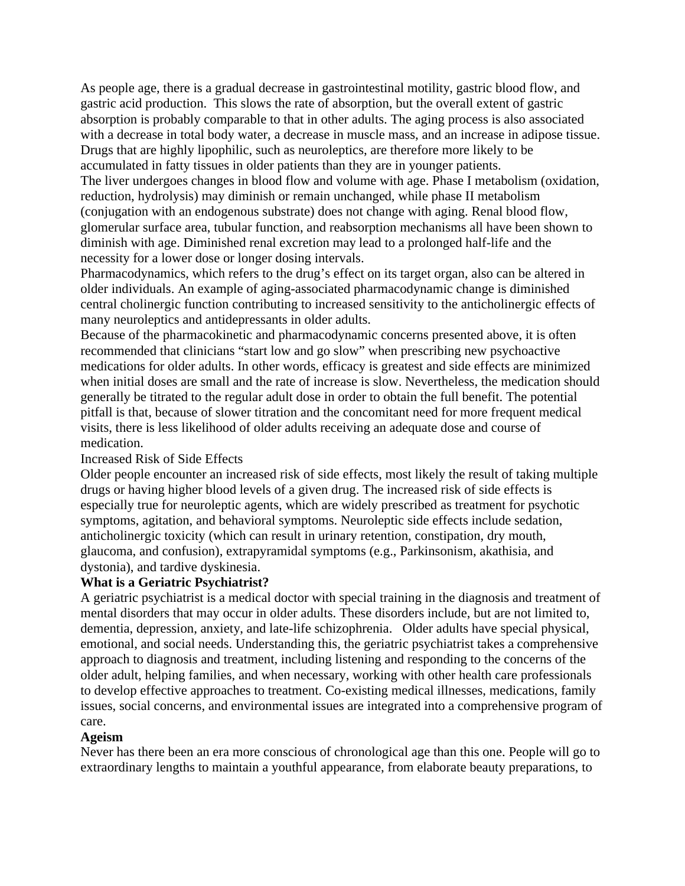As people age, there is a gradual decrease in gastrointestinal motility, gastric blood flow, and gastric acid production. This slows the rate of absorption, but the overall extent of gastric absorption is probably comparable to that in other adults. The aging process is also associated with a decrease in total body water, a decrease in muscle mass, and an increase in adipose tissue. Drugs that are highly lipophilic, such as neuroleptics, are therefore more likely to be accumulated in fatty tissues in older patients than they are in younger patients.

The liver undergoes changes in blood flow and volume with age. Phase I metabolism (oxidation, reduction, hydrolysis) may diminish or remain unchanged, while phase II metabolism (conjugation with an endogenous substrate) does not change with aging. Renal blood flow, glomerular surface area, tubular function, and reabsorption mechanisms all have been shown to diminish with age. Diminished renal excretion may lead to a prolonged half-life and the necessity for a lower dose or longer dosing intervals.

Pharmacodynamics, which refers to the drug's effect on its target organ, also can be altered in older individuals. An example of aging-associated pharmacodynamic change is diminished central cholinergic function contributing to increased sensitivity to the anticholinergic effects of many neuroleptics and antidepressants in older adults.

Because of the pharmacokinetic and pharmacodynamic concerns presented above, it is often recommended that clinicians "start low and go slow" when prescribing new psychoactive medications for older adults. In other words, efficacy is greatest and side effects are minimized when initial doses are small and the rate of increase is slow. Nevertheless, the medication should generally be titrated to the regular adult dose in order to obtain the full benefit. The potential pitfall is that, because of slower titration and the concomitant need for more frequent medical visits, there is less likelihood of older adults receiving an adequate dose and course of medication.

#### Increased Risk of Side Effects

Older people encounter an increased risk of side effects, most likely the result of taking multiple drugs or having higher blood levels of a given drug. The increased risk of side effects is especially true for neuroleptic agents, which are widely prescribed as treatment for psychotic symptoms, agitation, and behavioral symptoms. Neuroleptic side effects include sedation, anticholinergic toxicity (which can result in urinary retention, constipation, dry mouth, glaucoma, and confusion), extrapyramidal symptoms (e.g., Parkinsonism, akathisia, and dystonia), and tardive dyskinesia.

#### **What is a Geriatric Psychiatrist?**

A geriatric psychiatrist is a medical doctor with special training in the diagnosis and treatment of mental disorders that may occur in older adults. These disorders include, but are not limited to, dementia, depression, anxiety, and late-life schizophrenia. Older adults have special physical, emotional, and social needs. Understanding this, the geriatric psychiatrist takes a comprehensive approach to diagnosis and treatment, including listening and responding to the concerns of the older adult, helping families, and when necessary, working with other health care professionals to develop effective approaches to treatment. Co-existing medical illnesses, medications, family issues, social concerns, and environmental issues are integrated into a comprehensive program of care.

#### **Ageism**

Never has there been an era more conscious of chronological age than this one. People will go to extraordinary lengths to maintain a youthful appearance, from elaborate beauty preparations, to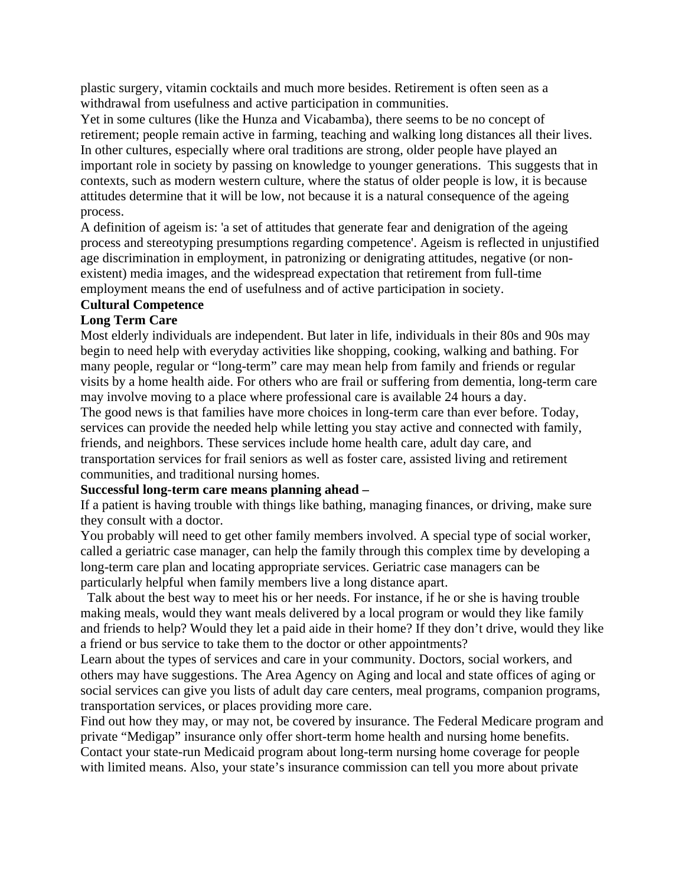plastic surgery, vitamin cocktails and much more besides. Retirement is often seen as a withdrawal from usefulness and active participation in communities.

Yet in some cultures (like the Hunza and Vicabamba), there seems to be no concept of retirement; people remain active in farming, teaching and walking long distances all their lives. In other cultures, especially where oral traditions are strong, older people have played an important role in society by passing on knowledge to younger generations. This suggests that in contexts, such as modern western culture, where the status of older people is low, it is because attitudes determine that it will be low, not because it is a natural consequence of the ageing process.

A definition of ageism is: 'a set of attitudes that generate fear and denigration of the ageing process and stereotyping presumptions regarding competence'. Ageism is reflected in unjustified age discrimination in employment, in patronizing or denigrating attitudes, negative (or nonexistent) media images, and the widespread expectation that retirement from full-time employment means the end of usefulness and of active participation in society.

#### **Cultural Competence**

#### **Long Term Care**

Most elderly individuals are independent. But later in life, individuals in their 80s and 90s may begin to need help with everyday activities like shopping, cooking, walking and bathing. For many people, regular or "long-term" care may mean help from family and friends or regular visits by a home health aide. For others who are frail or suffering from dementia, long-term care may involve moving to a place where professional care is available 24 hours a day.

The good news is that families have more choices in long-term care than ever before. Today, services can provide the needed help while letting you stay active and connected with family, friends, and neighbors. These services include home health care, adult day care, and transportation services for frail seniors as well as foster care, assisted living and retirement communities, and traditional nursing homes.

#### **Successful long-term care means planning ahead –**

If a patient is having trouble with things like bathing, managing finances, or driving, make sure they consult with a doctor.

You probably will need to get other family members involved. A special type of social worker, called a geriatric case manager, can help the family through this complex time by developing a long-term care plan and locating appropriate services. Geriatric case managers can be particularly helpful when family members live a long distance apart.

Talk about the best way to meet his or her needs. For instance, if he or she is having trouble making meals, would they want meals delivered by a local program or would they like family and friends to help? Would they let a paid aide in their home? If they don't drive, would they like a friend or bus service to take them to the doctor or other appointments?

Learn about the types of services and care in your community. Doctors, social workers, and others may have suggestions. The Area Agency on Aging and local and state offices of aging or social services can give you lists of adult day care centers, meal programs, companion programs, transportation services, or places providing more care.

Find out how they may, or may not, be covered by insurance. The Federal Medicare program and private "Medigap" insurance only offer short-term home health and nursing home benefits. Contact your state-run Medicaid program about long-term nursing home coverage for people with limited means. Also, your state's insurance commission can tell you more about private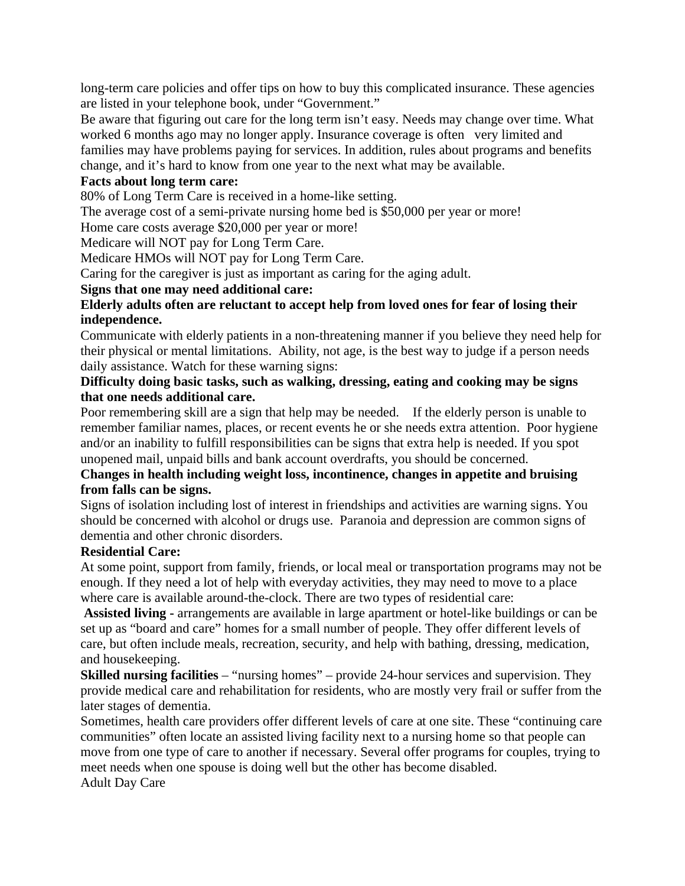long-term care policies and offer tips on how to buy this complicated insurance. These agencies are listed in your telephone book, under "Government."

Be aware that figuring out care for the long term isn't easy. Needs may change over time. What worked 6 months ago may no longer apply. Insurance coverage is often very limited and families may have problems paying for services. In addition, rules about programs and benefits change, and it's hard to know from one year to the next what may be available.

### **Facts about long term care:**

80% of Long Term Care is received in a home-like setting.

The average cost of a semi-private nursing home bed is \$50,000 per year or more!

Home care costs average \$20,000 per year or more!

Medicare will NOT pay for Long Term Care.

Medicare HMOs will NOT pay for Long Term Care.

Caring for the caregiver is just as important as caring for the aging adult.

#### **Signs that one may need additional care:**

#### **Elderly adults often are reluctant to accept help from loved ones for fear of losing their independence.**

Communicate with elderly patients in a non-threatening manner if you believe they need help for their physical or mental limitations. Ability, not age, is the best way to judge if a person needs daily assistance. Watch for these warning signs:

#### **Difficulty doing basic tasks, such as walking, dressing, eating and cooking may be signs that one needs additional care.**

Poor remembering skill are a sign that help may be needed. If the elderly person is unable to remember familiar names, places, or recent events he or she needs extra attention. Poor hygiene and/or an inability to fulfill responsibilities can be signs that extra help is needed. If you spot unopened mail, unpaid bills and bank account overdrafts, you should be concerned.

#### **Changes in health including weight loss, incontinence, changes in appetite and bruising from falls can be signs.**

Signs of isolation including lost of interest in friendships and activities are warning signs. You should be concerned with alcohol or drugs use. Paranoia and depression are common signs of dementia and other chronic disorders.

## **Residential Care:**

At some point, support from family, friends, or local meal or transportation programs may not be enough. If they need a lot of help with everyday activities, they may need to move to a place where care is available around-the-clock. There are two types of residential care:

**Assisted living -** arrangements are available in large apartment or hotel-like buildings or can be set up as "board and care" homes for a small number of people. They offer different levels of care, but often include meals, recreation, security, and help with bathing, dressing, medication, and housekeeping.

**Skilled nursing facilities** – "nursing homes" – provide 24-hour services and supervision. They provide medical care and rehabilitation for residents, who are mostly very frail or suffer from the later stages of dementia.

Sometimes, health care providers offer different levels of care at one site. These "continuing care communities" often locate an assisted living facility next to a nursing home so that people can move from one type of care to another if necessary. Several offer programs for couples, trying to meet needs when one spouse is doing well but the other has become disabled. Adult Day Care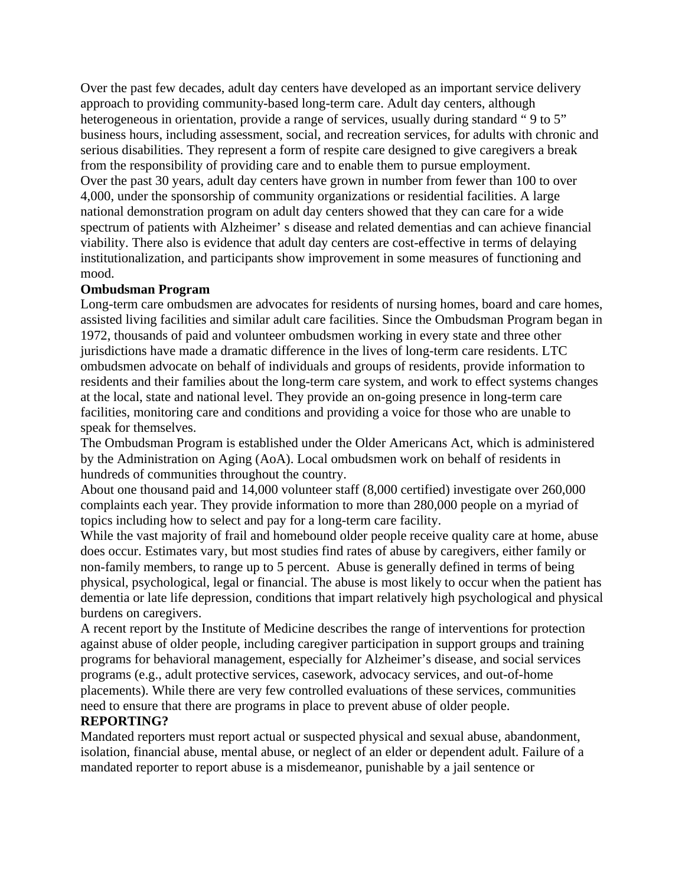Over the past few decades, adult day centers have developed as an important service delivery approach to providing community-based long-term care. Adult day centers, although heterogeneous in orientation, provide a range of services, usually during standard "9 to 5" business hours, including assessment, social, and recreation services, for adults with chronic and serious disabilities. They represent a form of respite care designed to give caregivers a break from the responsibility of providing care and to enable them to pursue employment. Over the past 30 years, adult day centers have grown in number from fewer than 100 to over 4,000, under the sponsorship of community organizations or residential facilities. A large national demonstration program on adult day centers showed that they can care for a wide spectrum of patients with Alzheimer' s disease and related dementias and can achieve financial viability. There also is evidence that adult day centers are cost-effective in terms of delaying institutionalization, and participants show improvement in some measures of functioning and mood.

#### **Ombudsman Program**

Long-term care ombudsmen are advocates for residents of nursing homes, board and care homes, assisted living facilities and similar adult care facilities. Since the Ombudsman Program began in 1972, thousands of paid and volunteer ombudsmen working in every state and three other jurisdictions have made a dramatic difference in the lives of long-term care residents. LTC ombudsmen advocate on behalf of individuals and groups of residents, provide information to residents and their families about the long-term care system, and work to effect systems changes at the local, state and national level. They provide an on-going presence in long-term care facilities, monitoring care and conditions and providing a voice for those who are unable to speak for themselves.

The Ombudsman Program is established under the Older Americans Act, which is administered by the Administration on Aging (AoA). Local ombudsmen work on behalf of residents in hundreds of communities throughout the country.

About one thousand paid and 14,000 volunteer staff (8,000 certified) investigate over 260,000 complaints each year. They provide information to more than 280,000 people on a myriad of topics including how to select and pay for a long-term care facility.

While the vast majority of frail and homebound older people receive quality care at home, abuse does occur. Estimates vary, but most studies find rates of abuse by caregivers, either family or non-family members, to range up to 5 percent. Abuse is generally defined in terms of being physical, psychological, legal or financial. The abuse is most likely to occur when the patient has dementia or late life depression, conditions that impart relatively high psychological and physical burdens on caregivers.

A recent report by the Institute of Medicine describes the range of interventions for protection against abuse of older people, including caregiver participation in support groups and training programs for behavioral management, especially for Alzheimer's disease, and social services programs (e.g., adult protective services, casework, advocacy services, and out-of-home placements). While there are very few controlled evaluations of these services, communities need to ensure that there are programs in place to prevent abuse of older people.

#### **REPORTING?**

Mandated reporters must report actual or suspected physical and sexual abuse, abandonment, isolation, financial abuse, mental abuse, or neglect of an elder or dependent adult. Failure of a mandated reporter to report abuse is a misdemeanor, punishable by a jail sentence or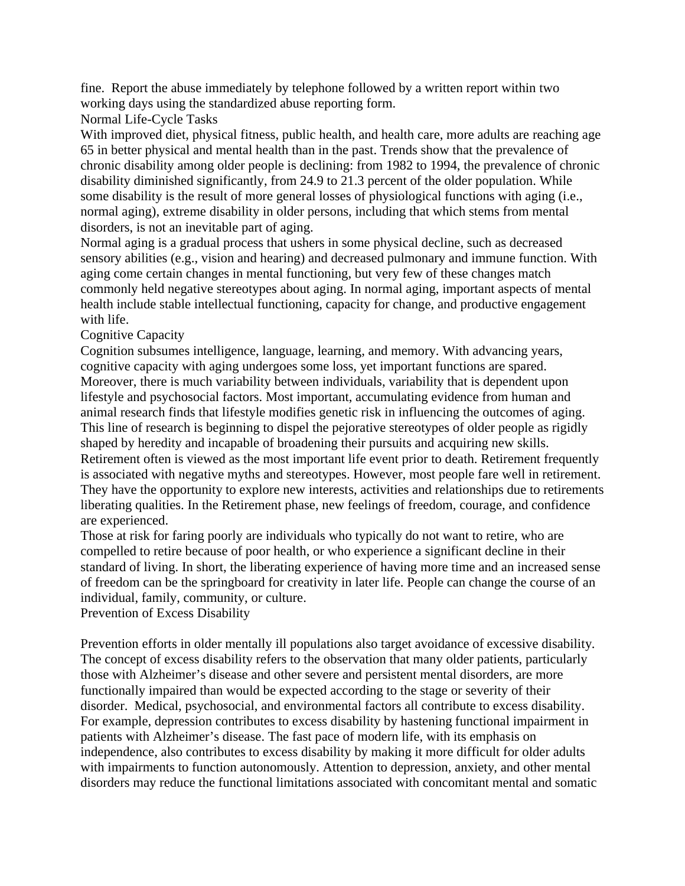fine. Report the abuse immediately by telephone followed by a written report within two working days using the standardized abuse reporting form.

Normal Life-Cycle Tasks

With improved diet, physical fitness, public health, and health care, more adults are reaching age 65 in better physical and mental health than in the past. Trends show that the prevalence of chronic disability among older people is declining: from 1982 to 1994, the prevalence of chronic disability diminished significantly, from 24.9 to 21.3 percent of the older population. While some disability is the result of more general losses of physiological functions with aging (i.e., normal aging), extreme disability in older persons, including that which stems from mental disorders, is not an inevitable part of aging.

Normal aging is a gradual process that ushers in some physical decline, such as decreased sensory abilities (e.g., vision and hearing) and decreased pulmonary and immune function. With aging come certain changes in mental functioning, but very few of these changes match commonly held negative stereotypes about aging. In normal aging, important aspects of mental health include stable intellectual functioning, capacity for change, and productive engagement with life.

#### Cognitive Capacity

Cognition subsumes intelligence, language, learning, and memory. With advancing years, cognitive capacity with aging undergoes some loss, yet important functions are spared. Moreover, there is much variability between individuals, variability that is dependent upon lifestyle and psychosocial factors. Most important, accumulating evidence from human and animal research finds that lifestyle modifies genetic risk in influencing the outcomes of aging. This line of research is beginning to dispel the pejorative stereotypes of older people as rigidly shaped by heredity and incapable of broadening their pursuits and acquiring new skills. Retirement often is viewed as the most important life event prior to death. Retirement frequently is associated with negative myths and stereotypes. However, most people fare well in retirement. They have the opportunity to explore new interests, activities and relationships due to retirements liberating qualities. In the Retirement phase, new feelings of freedom, courage, and confidence are experienced.

Those at risk for faring poorly are individuals who typically do not want to retire, who are compelled to retire because of poor health, or who experience a significant decline in their standard of living. In short, the liberating experience of having more time and an increased sense of freedom can be the springboard for creativity in later life. People can change the course of an individual, family, community, or culture.

Prevention of Excess Disability

Prevention efforts in older mentally ill populations also target avoidance of excessive disability. The concept of excess disability refers to the observation that many older patients, particularly those with Alzheimer's disease and other severe and persistent mental disorders, are more functionally impaired than would be expected according to the stage or severity of their disorder. Medical, psychosocial, and environmental factors all contribute to excess disability. For example, depression contributes to excess disability by hastening functional impairment in patients with Alzheimer's disease. The fast pace of modern life, with its emphasis on independence, also contributes to excess disability by making it more difficult for older adults with impairments to function autonomously. Attention to depression, anxiety, and other mental disorders may reduce the functional limitations associated with concomitant mental and somatic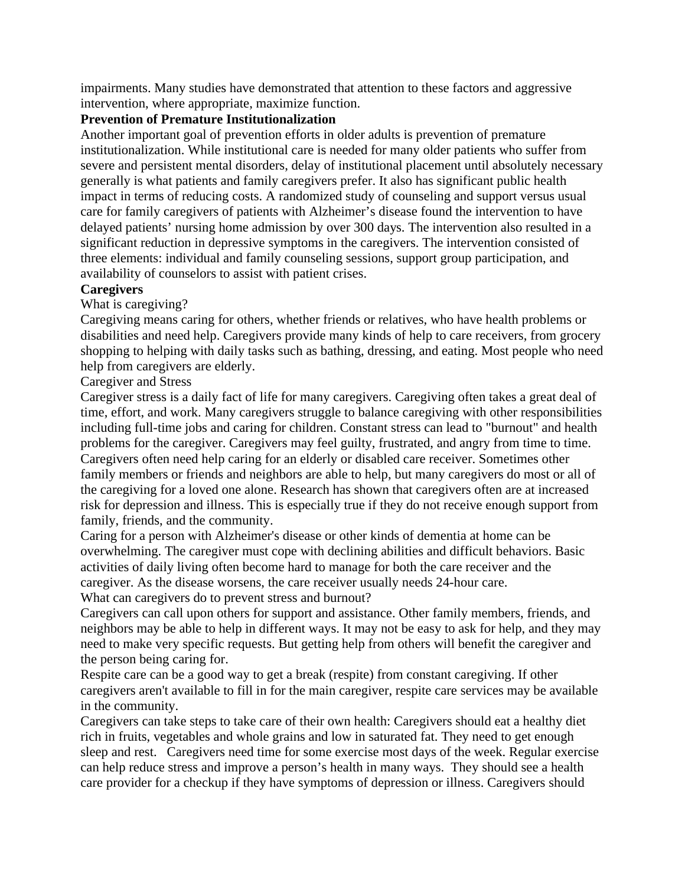impairments. Many studies have demonstrated that attention to these factors and aggressive intervention, where appropriate, maximize function.

### **Prevention of Premature Institutionalization**

Another important goal of prevention efforts in older adults is prevention of premature institutionalization. While institutional care is needed for many older patients who suffer from severe and persistent mental disorders, delay of institutional placement until absolutely necessary generally is what patients and family caregivers prefer. It also has significant public health impact in terms of reducing costs. A randomized study of counseling and support versus usual care for family caregivers of patients with Alzheimer's disease found the intervention to have delayed patients' nursing home admission by over 300 days. The intervention also resulted in a significant reduction in depressive symptoms in the caregivers. The intervention consisted of three elements: individual and family counseling sessions, support group participation, and availability of counselors to assist with patient crises.

#### **Caregivers**

What is caregiving?

Caregiving means caring for others, whether friends or relatives, who have health problems or disabilities and need help. Caregivers provide many kinds of help to care receivers, from grocery shopping to helping with daily tasks such as bathing, dressing, and eating. Most people who need help from caregivers are elderly.

Caregiver and Stress

Caregiver stress is a daily fact of life for many caregivers. Caregiving often takes a great deal of time, effort, and work. Many caregivers struggle to balance caregiving with other responsibilities including full-time jobs and caring for children. Constant stress can lead to "burnout" and health problems for the caregiver. Caregivers may feel guilty, frustrated, and angry from time to time. Caregivers often need help caring for an elderly or disabled care receiver. Sometimes other family members or friends and neighbors are able to help, but many caregivers do most or all of the caregiving for a loved one alone. Research has shown that caregivers often are at increased risk for depression and illness. This is especially true if they do not receive enough support from family, friends, and the community.

Caring for a person with Alzheimer's disease or other kinds of dementia at home can be overwhelming. The caregiver must cope with declining abilities and difficult behaviors. Basic activities of daily living often become hard to manage for both the care receiver and the caregiver. As the disease worsens, the care receiver usually needs 24-hour care.

What can caregivers do to prevent stress and burnout?

Caregivers can call upon others for support and assistance. Other family members, friends, and neighbors may be able to help in different ways. It may not be easy to ask for help, and they may need to make very specific requests. But getting help from others will benefit the caregiver and the person being caring for.

Respite care can be a good way to get a break (respite) from constant caregiving. If other caregivers aren't available to fill in for the main caregiver, respite care services may be available in the community.

Caregivers can take steps to take care of their own health: Caregivers should eat a healthy diet rich in fruits, vegetables and whole grains and low in saturated fat. They need to get enough sleep and rest. Caregivers need time for some exercise most days of the week. Regular exercise can help reduce stress and improve a person's health in many ways. They should see a health care provider for a checkup if they have symptoms of depression or illness. Caregivers should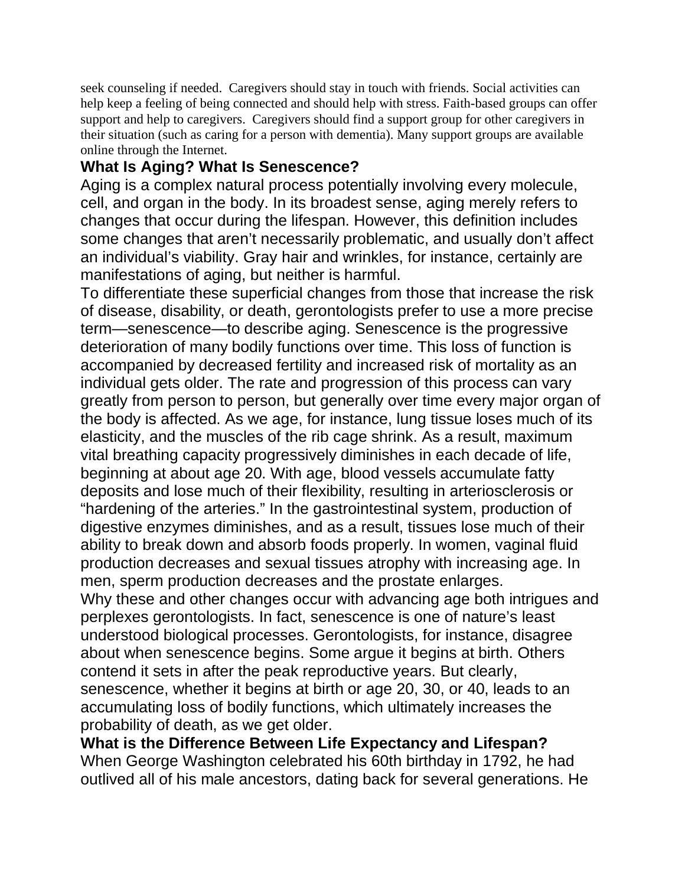seek counseling if needed. Caregivers should stay in touch with friends. Social activities can help keep a feeling of being connected and should help with stress. Faith-based groups can offer support and help to caregivers. Caregivers should find a support group for other caregivers in their situation (such as caring for a person with dementia). Many support groups are available online through the Internet.

# **What Is Aging? What Is Senescence?**

Aging is a complex natural process potentially involving every molecule, cell, and organ in the body. In its broadest sense, aging merely refers to changes that occur during the lifespan. However, this definition includes some changes that aren't necessarily problematic, and usually don't affect an individual's viability. Gray hair and wrinkles, for instance, certainly are manifestations of aging, but neither is harmful.

To differentiate these superficial changes from those that increase the risk of disease, disability, or death, gerontologists prefer to use a more precise term—senescence—to describe aging. Senescence is the progressive deterioration of many bodily functions over time. This loss of function is accompanied by decreased fertility and increased risk of mortality as an individual gets older. The rate and progression of this process can vary greatly from person to person, but generally over time every major organ of the body is affected. As we age, for instance, lung tissue loses much of its elasticity, and the muscles of the rib cage shrink. As a result, maximum vital breathing capacity progressively diminishes in each decade of life, beginning at about age 20. With age, blood vessels accumulate fatty deposits and lose much of their flexibility, resulting in arteriosclerosis or "hardening of the arteries." In the gastrointestinal system, production of digestive enzymes diminishes, and as a result, tissues lose much of their ability to break down and absorb foods properly. In women, vaginal fluid production decreases and sexual tissues atrophy with increasing age. In men, sperm production decreases and the prostate enlarges.

Why these and other changes occur with advancing age both intrigues and perplexes gerontologists. In fact, senescence is one of nature's least understood biological processes. Gerontologists, for instance, disagree about when senescence begins. Some argue it begins at birth. Others contend it sets in after the peak reproductive years. But clearly, senescence, whether it begins at birth or age 20, 30, or 40, leads to an accumulating loss of bodily functions, which ultimately increases the probability of death, as we get older.

**What is the Difference Between Life Expectancy and Lifespan?** When George Washington celebrated his 60th birthday in 1792, he had outlived all of his male ancestors, dating back for several generations. He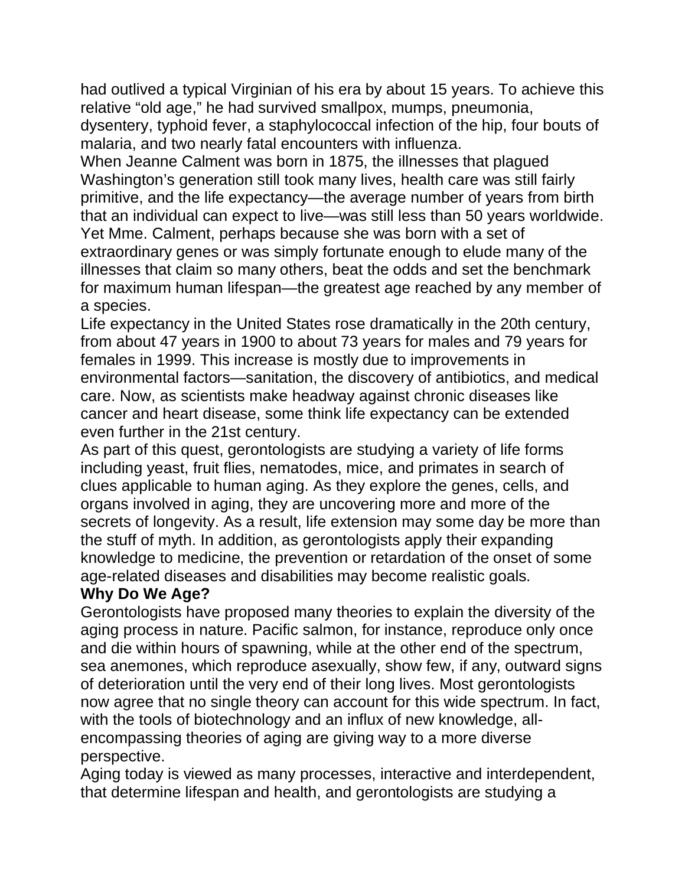had outlived a typical Virginian of his era by about 15 years. To achieve this relative "old age," he had survived smallpox, mumps, pneumonia, dysentery, typhoid fever, a staphylococcal infection of the hip, four bouts of malaria, and two nearly fatal encounters with influenza.

When Jeanne Calment was born in 1875, the illnesses that plagued Washington's generation still took many lives, health care was still fairly primitive, and the life expectancy—the average number of years from birth that an individual can expect to live—was still less than 50 years worldwide. Yet Mme. Calment, perhaps because she was born with a set of extraordinary genes or was simply fortunate enough to elude many of the illnesses that claim so many others, beat the odds and set the benchmark for maximum human lifespan—the greatest age reached by any member of a species.

Life expectancy in the United States rose dramatically in the 20th century, from about 47 years in 1900 to about 73 years for males and 79 years for females in 1999. This increase is mostly due to improvements in environmental factors—sanitation, the discovery of antibiotics, and medical care. Now, as scientists make headway against chronic diseases like cancer and heart disease, some think life expectancy can be extended even further in the 21st century.

As part of this quest, gerontologists are studying a variety of life forms including yeast, fruit flies, nematodes, mice, and primates in search of clues applicable to human aging. As they explore the genes, cells, and organs involved in aging, they are uncovering more and more of the secrets of longevity. As a result, life extension may some day be more than the stuff of myth. In addition, as gerontologists apply their expanding knowledge to medicine, the prevention or retardation of the onset of some age-related diseases and disabilities may become realistic goals.

# **Why Do We Age?**

Gerontologists have proposed many theories to explain the diversity of the aging process in nature. Pacific salmon, for instance, reproduce only once and die within hours of spawning, while at the other end of the spectrum, sea anemones, which reproduce asexually, show few, if any, outward signs of deterioration until the very end of their long lives. Most gerontologists now agree that no single theory can account for this wide spectrum. In fact, with the tools of biotechnology and an influx of new knowledge, allencompassing theories of aging are giving way to a more diverse perspective.

Aging today is viewed as many processes, interactive and interdependent, that determine lifespan and health, and gerontologists are studying a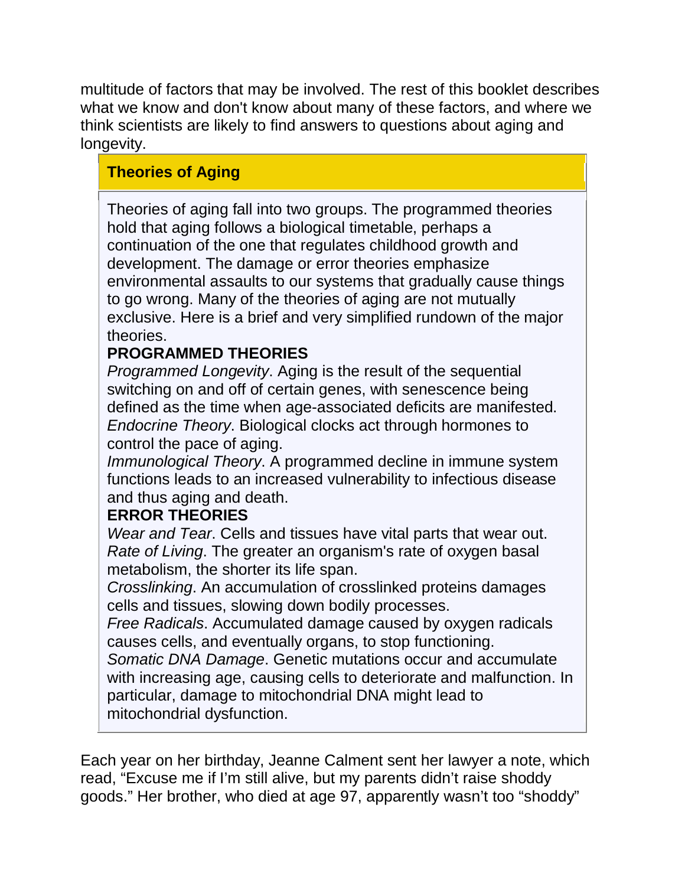multitude of factors that may be involved. The rest of this booklet describes what we know and don't know about many of these factors, and where we think scientists are likely to find answers to questions about aging and longevity.

# **Theories of Aging**

Theories of aging fall into two groups. The programmed theories hold that aging follows a biological timetable, perhaps a continuation of the one that regulates childhood growth and development. The damage or error theories emphasize environmental assaults to our systems that gradually cause things to go wrong. Many of the theories of aging are not mutually exclusive. Here is a brief and very simplified rundown of the major theories.

# **PROGRAMMED THEORIES**

*Programmed Longevity*. Aging is the result of the sequential switching on and off of certain genes, with senescence being defined as the time when age-associated deficits are manifested. *Endocrine Theory*. Biological clocks act through hormones to control the pace of aging.

*Immunological Theory*. A programmed decline in immune system functions leads to an increased vulnerability to infectious disease and thus aging and death.

# **ERROR THEORIES**

*Wear and Tear*. Cells and tissues have vital parts that wear out. *Rate of Living*. The greater an organism's rate of oxygen basal metabolism, the shorter its life span.

*Crosslinking*. An accumulation of crosslinked proteins damages cells and tissues, slowing down bodily processes.

*Free Radicals*. Accumulated damage caused by oxygen radicals causes cells, and eventually organs, to stop functioning.

*Somatic DNA Damage*. Genetic mutations occur and accumulate with increasing age, causing cells to deteriorate and malfunction. In particular, damage to mitochondrial DNA might lead to mitochondrial dysfunction.

Each year on her birthday, Jeanne Calment sent her lawyer a note, which read, "Excuse me if I'm still alive, but my parents didn't raise shoddy goods." Her brother, who died at age 97, apparently wasn't too "shoddy"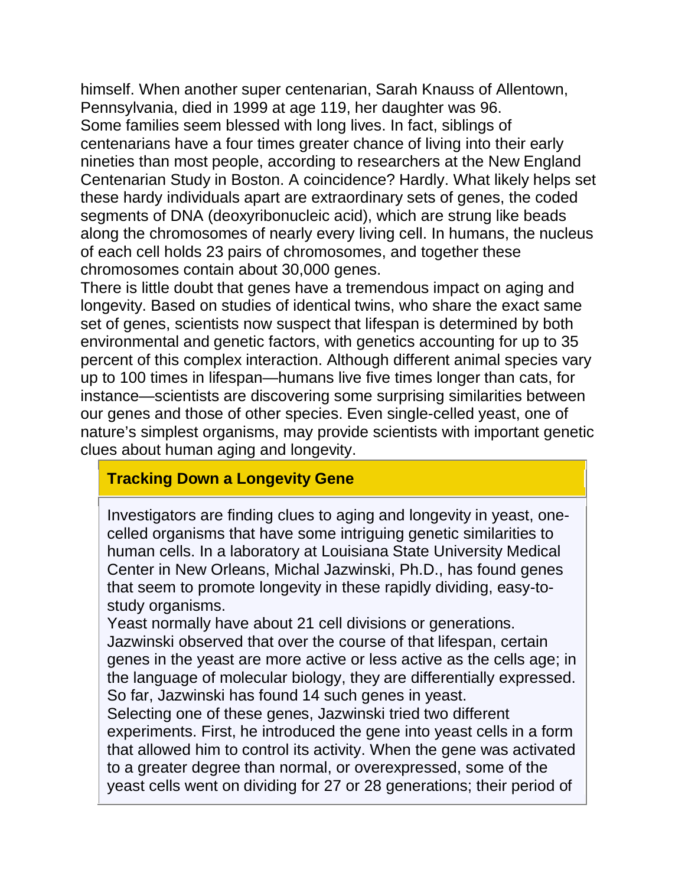himself. When another super centenarian, Sarah Knauss of Allentown, Pennsylvania, died in 1999 at age 119, her daughter was 96. Some families seem blessed with long lives. In fact, siblings of centenarians have a four times greater chance of living into their early nineties than most people, according to researchers at the New England Centenarian Study in Boston. A coincidence? Hardly. What likely helps set these hardy individuals apart are extraordinary sets of genes, the coded segments of DNA (deoxyribonucleic acid), which are strung like beads along the chromosomes of nearly every living cell. In humans, the nucleus of each cell holds 23 pairs of chromosomes, and together these chromosomes contain about 30,000 genes.

There is little doubt that genes have a tremendous impact on aging and longevity. Based on studies of identical twins, who share the exact same set of genes, scientists now suspect that lifespan is determined by both environmental and genetic factors, with genetics accounting for up to 35 percent of this complex interaction. Although different animal species vary up to 100 times in lifespan—humans live five times longer than cats, for instance—scientists are discovering some surprising similarities between our genes and those of other species. Even single-celled yeast, one of nature's simplest organisms, may provide scientists with important genetic clues about human aging and longevity.

# **Tracking Down a Longevity Gene**

Investigators are finding clues to aging and longevity in yeast, onecelled organisms that have some intriguing genetic similarities to human cells. In a laboratory at Louisiana State University Medical Center in New Orleans, Michal Jazwinski, Ph.D., has found genes that seem to promote longevity in these rapidly dividing, easy-tostudy organisms.

Yeast normally have about 21 cell divisions or generations. Jazwinski observed that over the course of that lifespan, certain genes in the yeast are more active or less active as the cells age; in the language of molecular biology, they are differentially expressed. So far, Jazwinski has found 14 such genes in yeast. Selecting one of these genes, Jazwinski tried two different

experiments. First, he introduced the gene into yeast cells in a form that allowed him to control its activity. When the gene was activated to a greater degree than normal, or overexpressed, some of the yeast cells went on dividing for 27 or 28 generations; their period of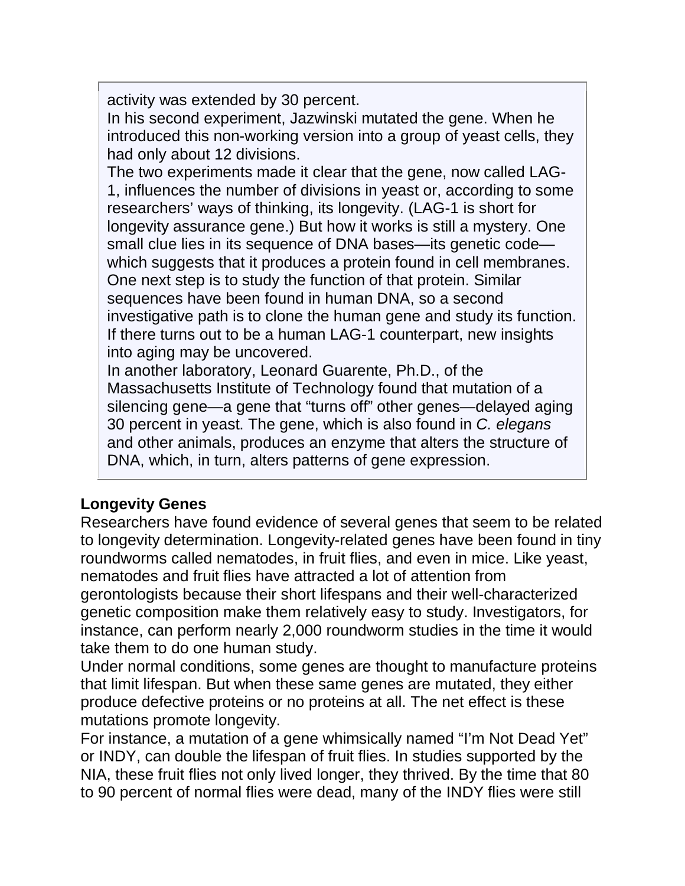activity was extended by 30 percent.

In his second experiment, Jazwinski mutated the gene. When he introduced this non-working version into a group of yeast cells, they had only about 12 divisions.

The two experiments made it clear that the gene, now called LAG-1, influences the number of divisions in yeast or, according to some researchers' ways of thinking, its longevity. (LAG-1 is short for longevity assurance gene.) But how it works is still a mystery. One small clue lies in its sequence of DNA bases—its genetic code which suggests that it produces a protein found in cell membranes. One next step is to study the function of that protein. Similar sequences have been found in human DNA, so a second investigative path is to clone the human gene and study its function. If there turns out to be a human LAG-1 counterpart, new insights into aging may be uncovered.

In another laboratory, Leonard Guarente, Ph.D., of the Massachusetts Institute of Technology found that mutation of a silencing gene—a gene that "turns off" other genes—delayed aging 30 percent in yeast. The gene, which is also found in *C. elegans* and other animals, produces an enzyme that alters the structure of DNA, which, in turn, alters patterns of gene expression.

# **Longevity Genes**

Researchers have found evidence of several genes that seem to be related to longevity determination. Longevity-related genes have been found in tiny roundworms called nematodes, in fruit flies, and even in mice. Like yeast, nematodes and fruit flies have attracted a lot of attention from gerontologists because their short lifespans and their well-characterized genetic composition make them relatively easy to study. Investigators, for instance, can perform nearly 2,000 roundworm studies in the time it would take them to do one human study.

Under normal conditions, some genes are thought to manufacture proteins that limit lifespan. But when these same genes are mutated, they either produce defective proteins or no proteins at all. The net effect is these mutations promote longevity.

For instance, a mutation of a gene whimsically named "I'm Not Dead Yet" or INDY, can double the lifespan of fruit flies. In studies supported by the NIA, these fruit flies not only lived longer, they thrived. By the time that 80 to 90 percent of normal flies were dead, many of the INDY flies were still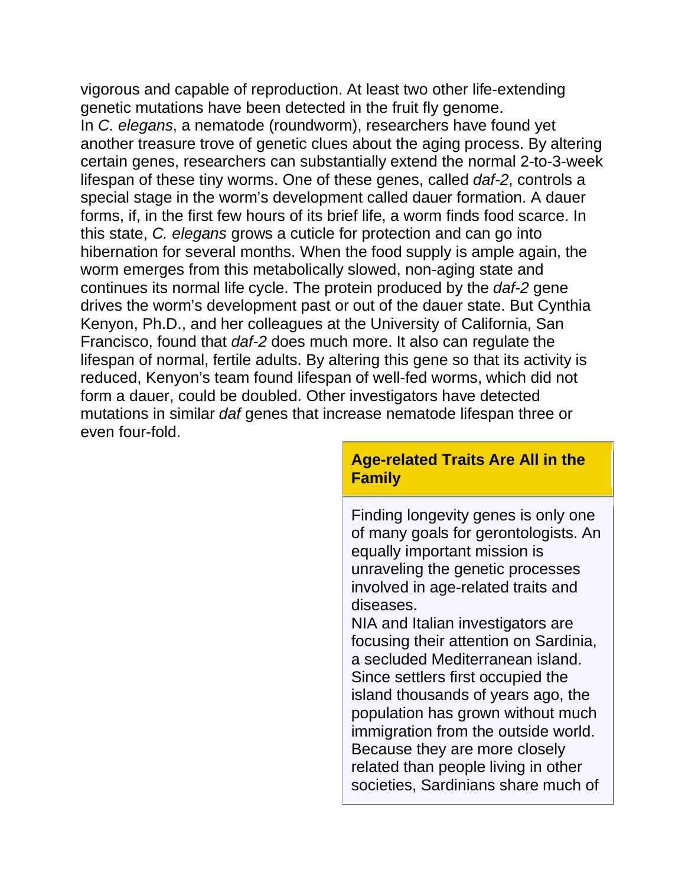vigorous and capable of reproduction. At least two other life-extending genetic mutations have been detected in the fruit fly genome. In *C. elegans*, a nematode (roundworm), researchers have found yet another treasure trove of genetic clues about the aging process. By altering certain genes, researchers can substantially extend the normal 2-to-3-week lifespan of these tiny worms. One of these genes, called *daf-2*, controls a special stage in the worm's development called dauer formation. A dauer forms, if, in the first few hours of its brief life, a worm finds food scarce. In this state, *C. elegans* grows a cuticle for protection and can go into hibernation for several months. When the food supply is ample again, the worm emerges from this metabolically slowed, non-aging state and continues its normal life cycle. The protein produced by the *daf-2* gene drives the worm's development past or out of the dauer state. But Cynthia Kenyon, Ph.D., and her colleagues at the University of California, San Francisco, found that *daf-2* does much more. It also can regulate the lifespan of normal, fertile adults. By altering this gene so that its activity is reduced, Kenyon's team found lifespan of well-fed worms, which did not form a dauer, could be doubled. Other investigators have detected mutations in similar *daf* genes that increase nematode lifespan three or even four-fold.

## **Age-related Traits Are All in the Family**

Finding longevity genes is only one of many goals for gerontologists. An equally important mission is unraveling the genetic processes involved in age-related traits and diseases.

NIA and Italian investigators are focusing their attention on Sardinia, a secluded Mediterranean island. Since settlers first occupied the island thousands of years ago, the population has grown without much immigration from the outside world. Because they are more closely related than people living in other societies, Sardinians share much of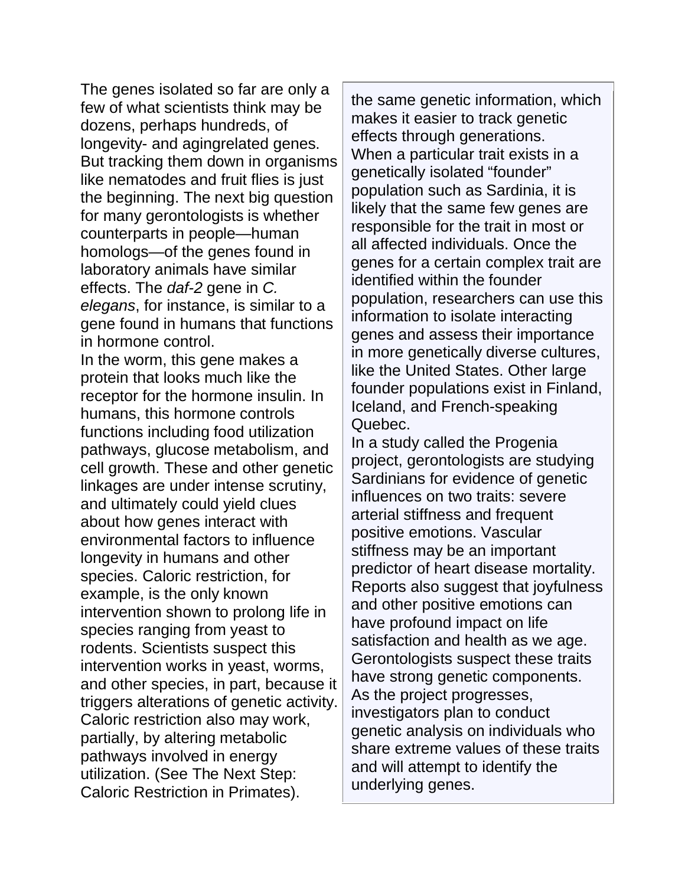The genes isolated so far are only a few of what scientists think may be dozens, perhaps hundreds, of longevity- and agingrelated genes. But tracking them down in organisms like nematodes and fruit flies is just the beginning. The next big question for many gerontologists is whether counterparts in people—human homologs—of the genes found in laboratory animals have similar effects. The *daf-2* gene in *C. elegans*, for instance, is similar to a gene found in humans that functions in hormone control.

In the worm, this gene makes a protein that looks much like the receptor for the hormone insulin. In humans, this hormone controls functions including food utilization pathways, glucose metabolism, and cell growth. These and other genetic linkages are under intense scrutiny, and ultimately could yield clues about how genes interact with environmental factors to influence longevity in humans and other species. Caloric restriction, for example, is the only known intervention shown to prolong life in species ranging from yeast to rodents. Scientists suspect this intervention works in yeast, worms, and other species, in part, because it triggers alterations of genetic activity. Caloric restriction also may work, partially, by altering metabolic pathways involved in energy utilization. (See The Next Step: Caloric Restriction in Primates).

the same genetic information, which makes it easier to track genetic effects through generations. When a particular trait exists in a genetically isolated "founder" population such as Sardinia, it is likely that the same few genes are responsible for the trait in most or all affected individuals. Once the genes for a certain complex trait are identified within the founder population, researchers can use this information to isolate interacting genes and assess their importance in more genetically diverse cultures, like the United States. Other large founder populations exist in Finland, Iceland, and French-speaking Quebec.

In a study called the Progenia project, gerontologists are studying Sardinians for evidence of genetic influences on two traits: severe arterial stiffness and frequent positive emotions. Vascular stiffness may be an important predictor of heart disease mortality. Reports also suggest that joyfulness and other positive emotions can have profound impact on life satisfaction and health as we age. Gerontologists suspect these traits have strong genetic components. As the project progresses, investigators plan to conduct genetic analysis on individuals who share extreme values of these traits and will attempt to identify the underlying genes.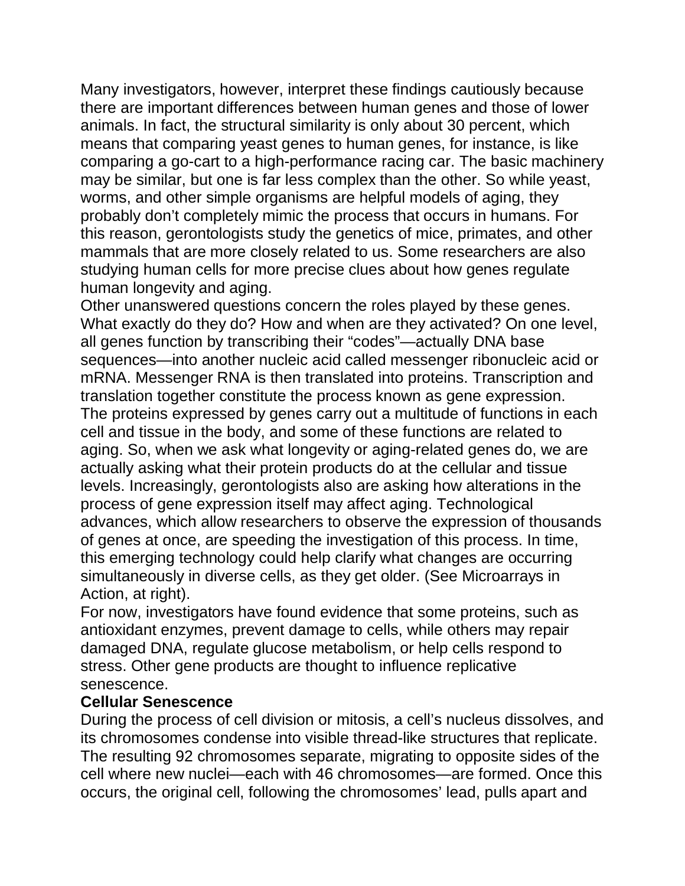Many investigators, however, interpret these findings cautiously because there are important differences between human genes and those of lower animals. In fact, the structural similarity is only about 30 percent, which means that comparing yeast genes to human genes, for instance, is like comparing a go-cart to a high-performance racing car. The basic machinery may be similar, but one is far less complex than the other. So while yeast, worms, and other simple organisms are helpful models of aging, they probably don't completely mimic the process that occurs in humans. For this reason, gerontologists study the genetics of mice, primates, and other mammals that are more closely related to us. Some researchers are also studying human cells for more precise clues about how genes regulate human longevity and aging.

Other unanswered questions concern the roles played by these genes. What exactly do they do? How and when are they activated? On one level, all genes function by transcribing their "codes"—actually DNA base sequences—into another nucleic acid called messenger ribonucleic acid or mRNA. Messenger RNA is then translated into proteins. Transcription and translation together constitute the process known as gene expression. The proteins expressed by genes carry out a multitude of functions in each cell and tissue in the body, and some of these functions are related to aging. So, when we ask what longevity or aging-related genes do, we are actually asking what their protein products do at the cellular and tissue levels. Increasingly, gerontologists also are asking how alterations in the process of gene expression itself may affect aging. Technological advances, which allow researchers to observe the expression of thousands of genes at once, are speeding the investigation of this process. In time, this emerging technology could help clarify what changes are occurring simultaneously in diverse cells, as they get older. (See Microarrays in Action, at right).

For now, investigators have found evidence that some proteins, such as antioxidant enzymes, prevent damage to cells, while others may repair damaged DNA, regulate glucose metabolism, or help cells respond to stress. Other gene products are thought to influence replicative senescence.

# **Cellular Senescence**

During the process of cell division or mitosis, a cell's nucleus dissolves, and its chromosomes condense into visible thread-like structures that replicate. The resulting 92 chromosomes separate, migrating to opposite sides of the cell where new nuclei—each with 46 chromosomes—are formed. Once this occurs, the original cell, following the chromosomes' lead, pulls apart and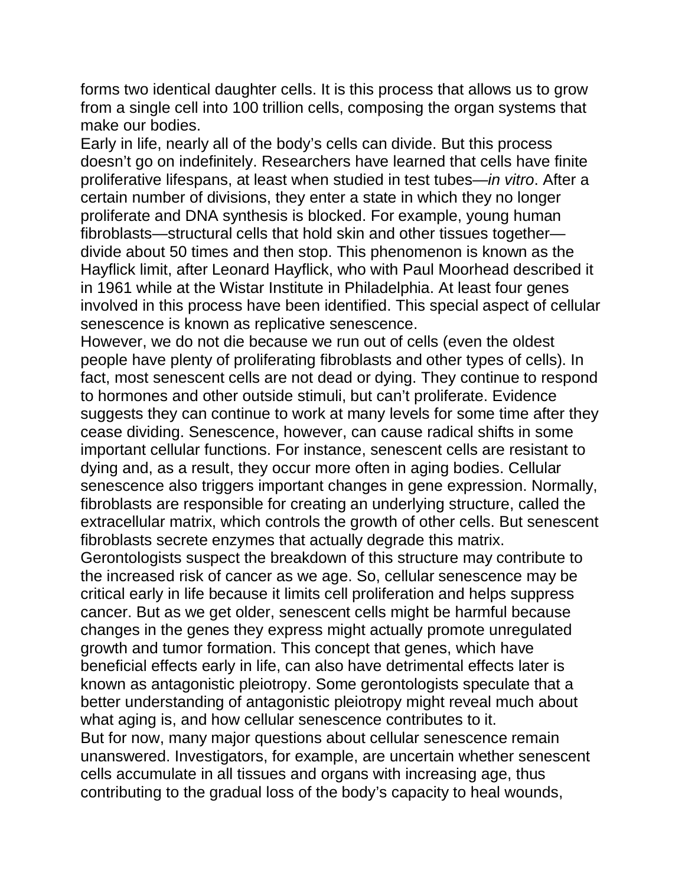forms two identical daughter cells. It is this process that allows us to grow from a single cell into 100 trillion cells, composing the organ systems that make our bodies.

Early in life, nearly all of the body's cells can divide. But this process doesn't go on indefinitely. Researchers have learned that cells have finite proliferative lifespans, at least when studied in test tubes—*in vitro*. After a certain number of divisions, they enter a state in which they no longer proliferate and DNA synthesis is blocked. For example, young human fibroblasts—structural cells that hold skin and other tissues together divide about 50 times and then stop. This phenomenon is known as the Hayflick limit, after Leonard Hayflick, who with Paul Moorhead described it in 1961 while at the Wistar Institute in Philadelphia. At least four genes involved in this process have been identified. This special aspect of cellular senescence is known as replicative senescence.

However, we do not die because we run out of cells (even the oldest people have plenty of proliferating fibroblasts and other types of cells). In fact, most senescent cells are not dead or dying. They continue to respond to hormones and other outside stimuli, but can't proliferate. Evidence suggests they can continue to work at many levels for some time after they cease dividing. Senescence, however, can cause radical shifts in some important cellular functions. For instance, senescent cells are resistant to dying and, as a result, they occur more often in aging bodies. Cellular senescence also triggers important changes in gene expression. Normally, fibroblasts are responsible for creating an underlying structure, called the extracellular matrix, which controls the growth of other cells. But senescent fibroblasts secrete enzymes that actually degrade this matrix.

Gerontologists suspect the breakdown of this structure may contribute to the increased risk of cancer as we age. So, cellular senescence may be critical early in life because it limits cell proliferation and helps suppress cancer. But as we get older, senescent cells might be harmful because changes in the genes they express might actually promote unregulated growth and tumor formation. This concept that genes, which have beneficial effects early in life, can also have detrimental effects later is known as antagonistic pleiotropy. Some gerontologists speculate that a better understanding of antagonistic pleiotropy might reveal much about what aging is, and how cellular senescence contributes to it.

But for now, many major questions about cellular senescence remain unanswered. Investigators, for example, are uncertain whether senescent cells accumulate in all tissues and organs with increasing age, thus contributing to the gradual loss of the body's capacity to heal wounds,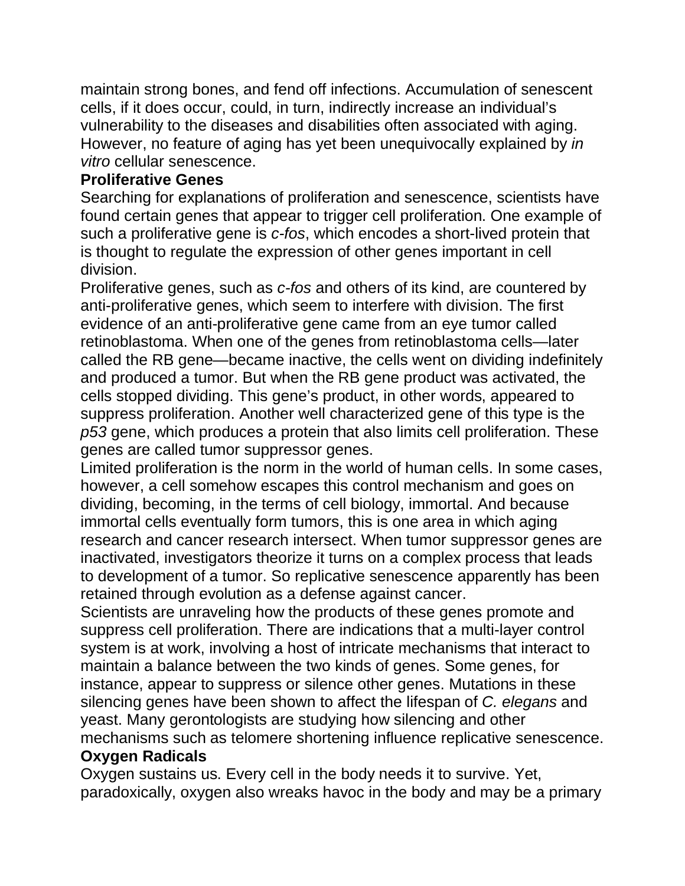maintain strong bones, and fend off infections. Accumulation of senescent cells, if it does occur, could, in turn, indirectly increase an individual's vulnerability to the diseases and disabilities often associated with aging. However, no feature of aging has yet been unequivocally explained by *in vitro* cellular senescence.

# **Proliferative Genes**

Searching for explanations of proliferation and senescence, scientists have found certain genes that appear to trigger cell proliferation. One example of such a proliferative gene is *c-fos*, which encodes a short-lived protein that is thought to regulate the expression of other genes important in cell division.

Proliferative genes, such as *c-fos* and others of its kind, are countered by anti-proliferative genes, which seem to interfere with division. The first evidence of an anti-proliferative gene came from an eye tumor called retinoblastoma. When one of the genes from retinoblastoma cells—later called the RB gene—became inactive, the cells went on dividing indefinitely and produced a tumor. But when the RB gene product was activated, the cells stopped dividing. This gene's product, in other words, appeared to suppress proliferation. Another well characterized gene of this type is the *p53* gene, which produces a protein that also limits cell proliferation. These genes are called tumor suppressor genes.

Limited proliferation is the norm in the world of human cells. In some cases, however, a cell somehow escapes this control mechanism and goes on dividing, becoming, in the terms of cell biology, immortal. And because immortal cells eventually form tumors, this is one area in which aging research and cancer research intersect. When tumor suppressor genes are inactivated, investigators theorize it turns on a complex process that leads to development of a tumor. So replicative senescence apparently has been retained through evolution as a defense against cancer.

Scientists are unraveling how the products of these genes promote and suppress cell proliferation. There are indications that a multi-layer control system is at work, involving a host of intricate mechanisms that interact to maintain a balance between the two kinds of genes. Some genes, for instance, appear to suppress or silence other genes. Mutations in these silencing genes have been shown to affect the lifespan of *C. elegans* and yeast. Many gerontologists are studying how silencing and other mechanisms such as telomere shortening influence replicative senescence.

# **Oxygen Radicals**

Oxygen sustains us. Every cell in the body needs it to survive. Yet, paradoxically, oxygen also wreaks havoc in the body and may be a primary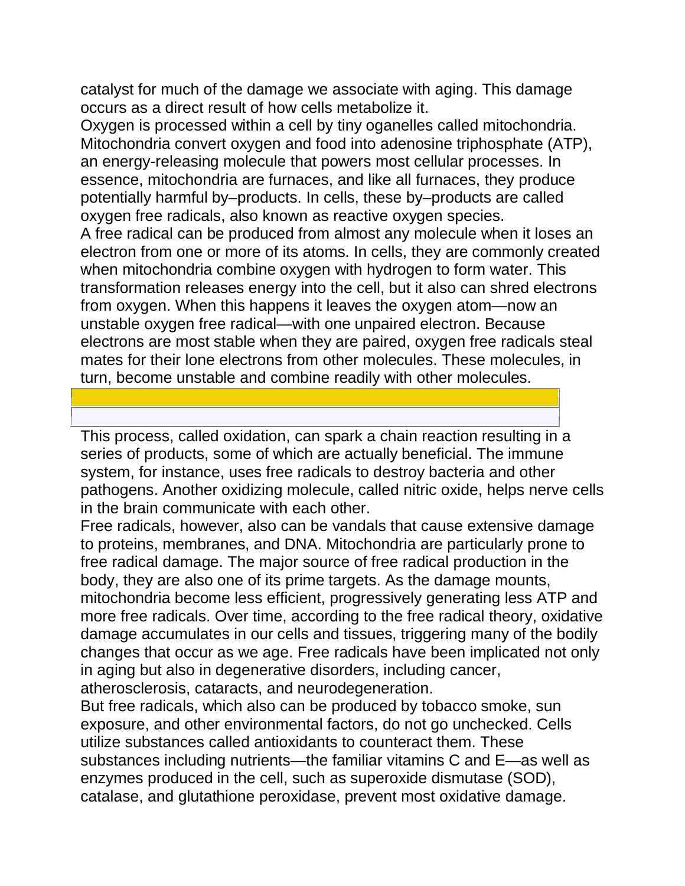catalyst for much of the damage we associate with aging. This damage occurs as a direct result of how cells metabolize it.

Oxygen is processed within a cell by tiny oganelles called mitochondria. Mitochondria convert oxygen and food into adenosine triphosphate (ATP), an energy-releasing molecule that powers most cellular processes. In essence, mitochondria are furnaces, and like all furnaces, they produce potentially harmful by–products. In cells, these by–products are called oxygen free radicals, also known as reactive oxygen species. A free radical can be produced from almost any molecule when it loses an electron from one or more of its atoms. In cells, they are commonly created when mitochondria combine oxygen with hydrogen to form water. This transformation releases energy into the cell, but it also can shred electrons from oxygen. When this happens it leaves the oxygen atom—now an unstable oxygen free radical—with one unpaired electron. Because electrons are most stable when they are paired, oxygen free radicals steal mates for their lone electrons from other molecules. These molecules, in turn, become unstable and combine readily with other molecules.

This process, called oxidation, can spark a chain reaction resulting in a series of products, some of which are actually beneficial. The immune system, for instance, uses free radicals to destroy bacteria and other pathogens. Another oxidizing molecule, called nitric oxide, helps nerve cells in the brain communicate with each other.

Free radicals, however, also can be vandals that cause extensive damage to proteins, membranes, and DNA. Mitochondria are particularly prone to free radical damage. The major source of free radical production in the body, they are also one of its prime targets. As the damage mounts, mitochondria become less efficient, progressively generating less ATP and more free radicals. Over time, according to the free radical theory, oxidative damage accumulates in our cells and tissues, triggering many of the bodily changes that occur as we age. Free radicals have been implicated not only in aging but also in degenerative disorders, including cancer, atherosclerosis, cataracts, and neurodegeneration.

But free radicals, which also can be produced by tobacco smoke, sun exposure, and other environmental factors, do not go unchecked. Cells utilize substances called antioxidants to counteract them. These substances including nutrients—the familiar vitamins C and E—as well as enzymes produced in the cell, such as superoxide dismutase (SOD), catalase, and glutathione peroxidase, prevent most oxidative damage.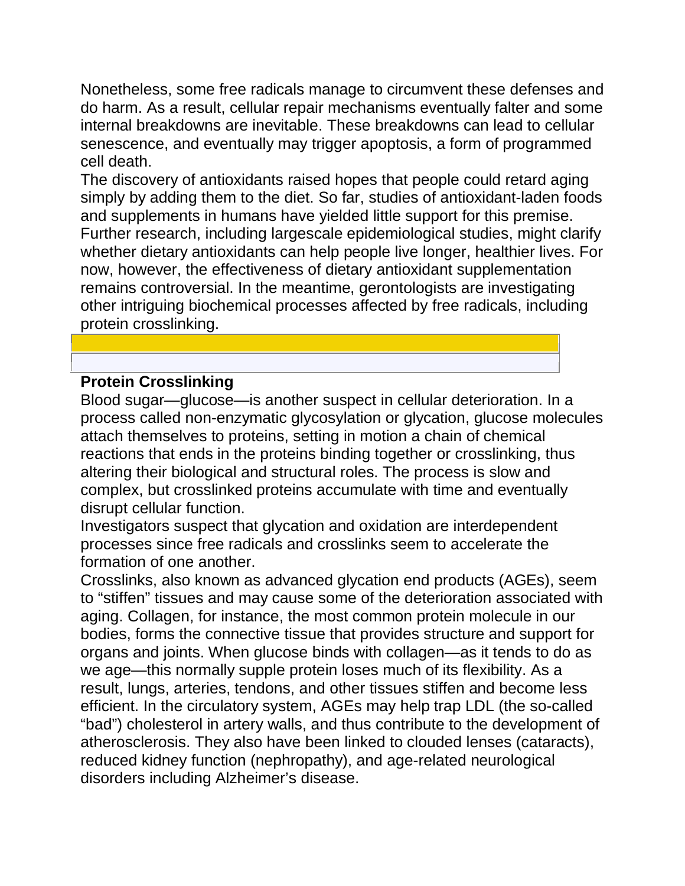Nonetheless, some free radicals manage to circumvent these defenses and do harm. As a result, cellular repair mechanisms eventually falter and some internal breakdowns are inevitable. These breakdowns can lead to cellular senescence, and eventually may trigger apoptosis, a form of programmed cell death.

The discovery of antioxidants raised hopes that people could retard aging simply by adding them to the diet. So far, studies of antioxidant-laden foods and supplements in humans have yielded little support for this premise. Further research, including largescale epidemiological studies, might clarify whether dietary antioxidants can help people live longer, healthier lives. For now, however, the effectiveness of dietary antioxidant supplementation remains controversial. In the meantime, gerontologists are investigating other intriguing biochemical processes affected by free radicals, including protein crosslinking.

# **Protein Crosslinking**

Blood sugar—glucose—is another suspect in cellular deterioration. In a process called non-enzymatic glycosylation or glycation, glucose molecules attach themselves to proteins, setting in motion a chain of chemical reactions that ends in the proteins binding together or crosslinking, thus altering their biological and structural roles. The process is slow and complex, but crosslinked proteins accumulate with time and eventually disrupt cellular function.

Investigators suspect that glycation and oxidation are interdependent processes since free radicals and crosslinks seem to accelerate the formation of one another.

Crosslinks, also known as advanced glycation end products (AGEs), seem to "stiffen" tissues and may cause some of the deterioration associated with aging. Collagen, for instance, the most common protein molecule in our bodies, forms the connective tissue that provides structure and support for organs and joints. When glucose binds with collagen—as it tends to do as we age—this normally supple protein loses much of its flexibility. As a result, lungs, arteries, tendons, and other tissues stiffen and become less efficient. In the circulatory system, AGEs may help trap LDL (the so-called "bad") cholesterol in artery walls, and thus contribute to the development of atherosclerosis. They also have been linked to clouded lenses (cataracts), reduced kidney function (nephropathy), and age-related neurological disorders including Alzheimer's disease.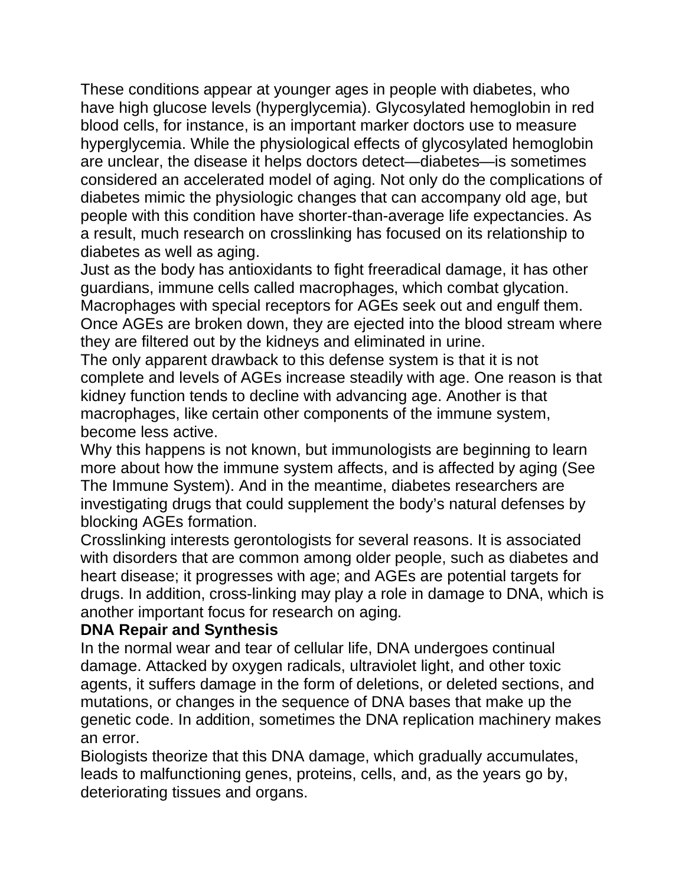These conditions appear at younger ages in people with diabetes, who have high glucose levels (hyperglycemia). Glycosylated hemoglobin in red blood cells, for instance, is an important marker doctors use to measure hyperglycemia. While the physiological effects of glycosylated hemoglobin are unclear, the disease it helps doctors detect—diabetes—is sometimes considered an accelerated model of aging. Not only do the complications of diabetes mimic the physiologic changes that can accompany old age, but people with this condition have shorter-than-average life expectancies. As a result, much research on crosslinking has focused on its relationship to diabetes as well as aging.

Just as the body has antioxidants to fight freeradical damage, it has other guardians, immune cells called macrophages, which combat glycation. Macrophages with special receptors for AGEs seek out and engulf them. Once AGEs are broken down, they are ejected into the blood stream where they are filtered out by the kidneys and eliminated in urine.

The only apparent drawback to this defense system is that it is not complete and levels of AGEs increase steadily with age. One reason is that kidney function tends to decline with advancing age. Another is that macrophages, like certain other components of the immune system, become less active.

Why this happens is not known, but immunologists are beginning to learn more about how the immune system affects, and is affected by aging (See The Immune System). And in the meantime, diabetes researchers are investigating drugs that could supplement the body's natural defenses by blocking AGEs formation.

Crosslinking interests gerontologists for several reasons. It is associated with disorders that are common among older people, such as diabetes and heart disease; it progresses with age; and AGEs are potential targets for drugs. In addition, cross-linking may play a role in damage to DNA, which is another important focus for research on aging.

# **DNA Repair and Synthesis**

In the normal wear and tear of cellular life, DNA undergoes continual damage. Attacked by oxygen radicals, ultraviolet light, and other toxic agents, it suffers damage in the form of deletions, or deleted sections, and mutations, or changes in the sequence of DNA bases that make up the genetic code. In addition, sometimes the DNA replication machinery makes an error.

Biologists theorize that this DNA damage, which gradually accumulates, leads to malfunctioning genes, proteins, cells, and, as the years go by, deteriorating tissues and organs.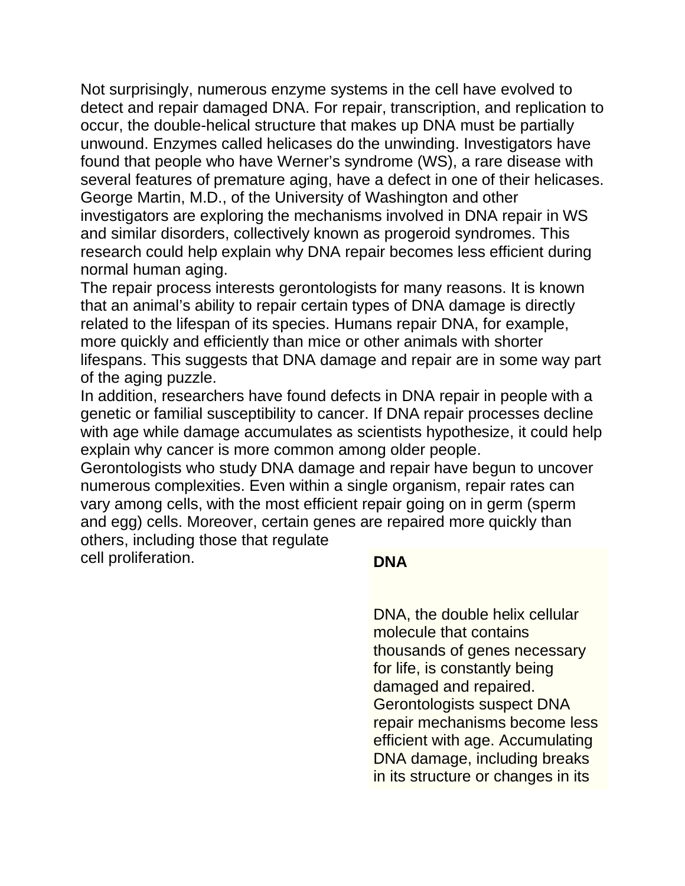Not surprisingly, numerous enzyme systems in the cell have evolved to detect and repair damaged DNA. For repair, transcription, and replication to occur, the double-helical structure that makes up DNA must be partially unwound. Enzymes called helicases do the unwinding. Investigators have found that people who have Werner's syndrome (WS), a rare disease with several features of premature aging, have a defect in one of their helicases. George Martin, M.D., of the University of Washington and other investigators are exploring the mechanisms involved in DNA repair in WS and similar disorders, collectively known as progeroid syndromes. This research could help explain why DNA repair becomes less efficient during normal human aging.

The repair process interests gerontologists for many reasons. It is known that an animal's ability to repair certain types of DNA damage is directly related to the lifespan of its species. Humans repair DNA, for example, more quickly and efficiently than mice or other animals with shorter lifespans. This suggests that DNA damage and repair are in some way part of the aging puzzle.

In addition, researchers have found defects in DNA repair in people with a genetic or familial susceptibility to cancer. If DNA repair processes decline with age while damage accumulates as scientists hypothesize, it could help explain why cancer is more common among older people.

Gerontologists who study DNA damage and repair have begun to uncover numerous complexities. Even within a single organism, repair rates can vary among cells, with the most efficient repair going on in germ (sperm and egg) cells. Moreover, certain genes are repaired more quickly than others, including those that regulate

cell proliferation. **DNA**

DNA, the double helix cellular molecule that contains thousands of genes necessary for life, is constantly being damaged and repaired. Gerontologists suspect DNA repair mechanisms become less efficient with age. Accumulating DNA damage, including breaks in its structure or changes in its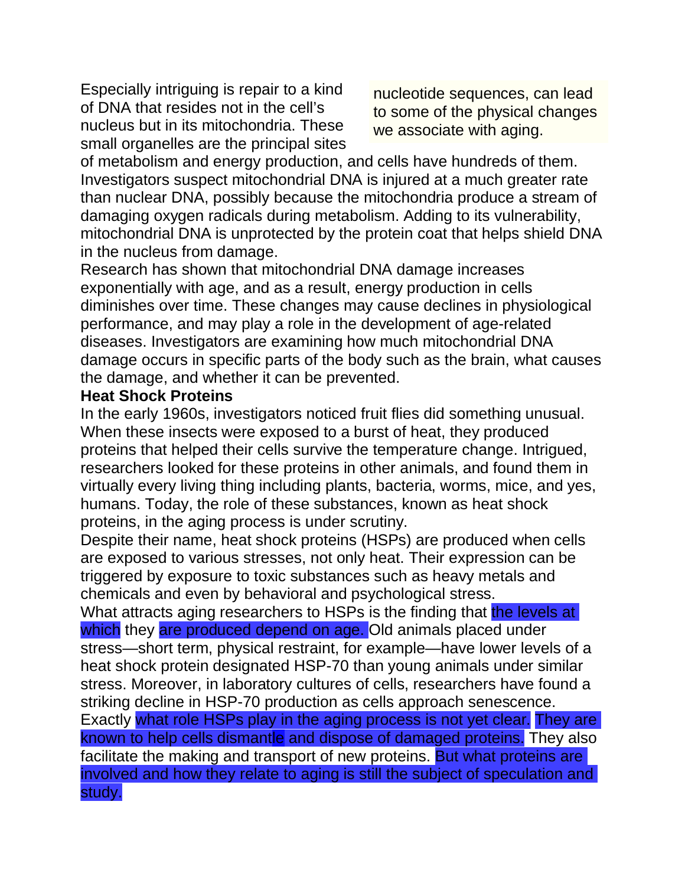Especially intriguing is repair to a kind of DNA that resides not in the cell's nucleus but in its mitochondria. These small organelles are the principal sites

nucleotide sequences, can lead to some of the physical changes we associate with aging.

of metabolism and energy production, and cells have hundreds of them. Investigators suspect mitochondrial DNA is injured at a much greater rate than nuclear DNA, possibly because the mitochondria produce a stream of damaging oxygen radicals during metabolism. Adding to its vulnerability, mitochondrial DNA is unprotected by the protein coat that helps shield DNA in the nucleus from damage.

Research has shown that mitochondrial DNA damage increases exponentially with age, and as a result, energy production in cells diminishes over time. These changes may cause declines in physiological performance, and may play a role in the development of age-related diseases. Investigators are examining how much mitochondrial DNA damage occurs in specific parts of the body such as the brain, what causes the damage, and whether it can be prevented.

## **Heat Shock Proteins**

In the early 1960s, investigators noticed fruit flies did something unusual. When these insects were exposed to a burst of heat, they produced proteins that helped their cells survive the temperature change. Intrigued, researchers looked for these proteins in other animals, and found them in virtually every living thing including plants, bacteria, worms, mice, and yes, humans. Today, the role of these substances, known as heat shock proteins, in the aging process is under scrutiny.

Despite their name, heat shock proteins (HSPs) are produced when cells are exposed to various stresses, not only heat. Their expression can be triggered by exposure to toxic substances such as heavy metals and chemicals and even by behavioral and psychological stress.

What attracts aging researchers to HSPs is the finding that the levels at which they are produced depend on age. Old animals placed under stress—short term, physical restraint, for example—have lower levels of a heat shock protein designated HSP-70 than young animals under similar stress. Moreover, in laboratory cultures of cells, researchers have found a striking decline in HSP-70 production as cells approach senescence.

Exactly what role HSPs play in the aging process is not yet clear. They are known to help cells dismantle and dispose of damaged proteins. They also facilitate the making and transport of new proteins. But what proteins are involved and how they relate to aging is still the subject of speculation and study.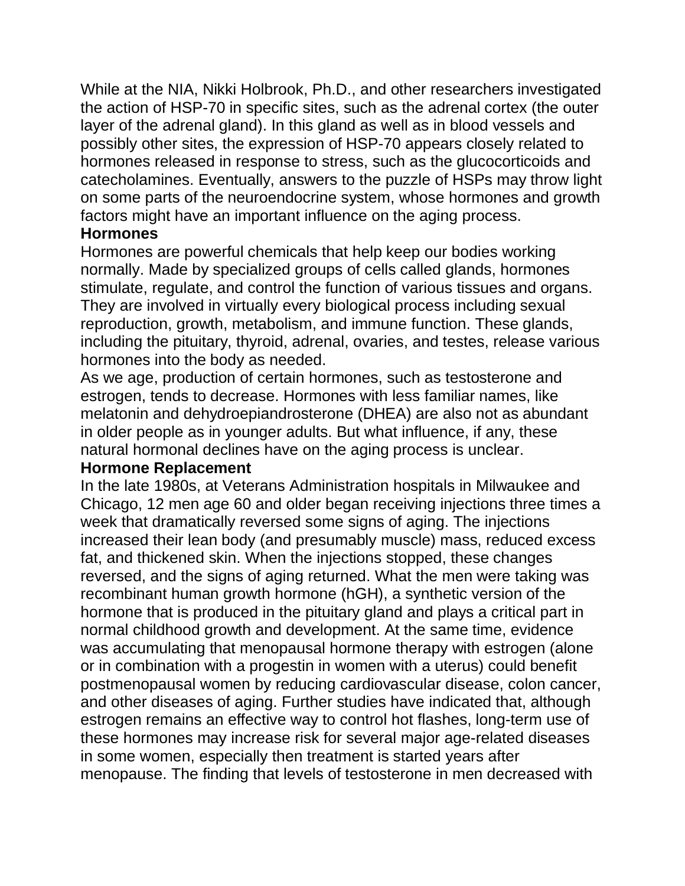While at the NIA, Nikki Holbrook, Ph.D., and other researchers investigated the action of HSP-70 in specific sites, such as the adrenal cortex (the outer layer of the adrenal gland). In this gland as well as in blood vessels and possibly other sites, the expression of HSP-70 appears closely related to hormones released in response to stress, such as the glucocorticoids and catecholamines. Eventually, answers to the puzzle of HSPs may throw light on some parts of the neuroendocrine system, whose hormones and growth factors might have an important influence on the aging process.

## **Hormones**

Hormones are powerful chemicals that help keep our bodies working normally. Made by specialized groups of cells called glands, hormones stimulate, regulate, and control the function of various tissues and organs. They are involved in virtually every biological process including sexual reproduction, growth, metabolism, and immune function. These glands, including the pituitary, thyroid, adrenal, ovaries, and testes, release various hormones into the body as needed.

As we age, production of certain hormones, such as testosterone and estrogen, tends to decrease. Hormones with less familiar names, like melatonin and dehydroepiandrosterone (DHEA) are also not as abundant in older people as in younger adults. But what influence, if any, these natural hormonal declines have on the aging process is unclear.

# **Hormone Replacement**

In the late 1980s, at Veterans Administration hospitals in Milwaukee and Chicago, 12 men age 60 and older began receiving injections three times a week that dramatically reversed some signs of aging. The injections increased their lean body (and presumably muscle) mass, reduced excess fat, and thickened skin. When the injections stopped, these changes reversed, and the signs of aging returned. What the men were taking was recombinant human growth hormone (hGH), a synthetic version of the hormone that is produced in the pituitary gland and plays a critical part in normal childhood growth and development. At the same time, evidence was accumulating that menopausal hormone therapy with estrogen (alone or in combination with a progestin in women with a uterus) could benefit postmenopausal women by reducing cardiovascular disease, colon cancer, and other diseases of aging. Further studies have indicated that, although estrogen remains an effective way to control hot flashes, long-term use of these hormones may increase risk for several major age-related diseases in some women, especially then treatment is started years after menopause. The finding that levels of testosterone in men decreased with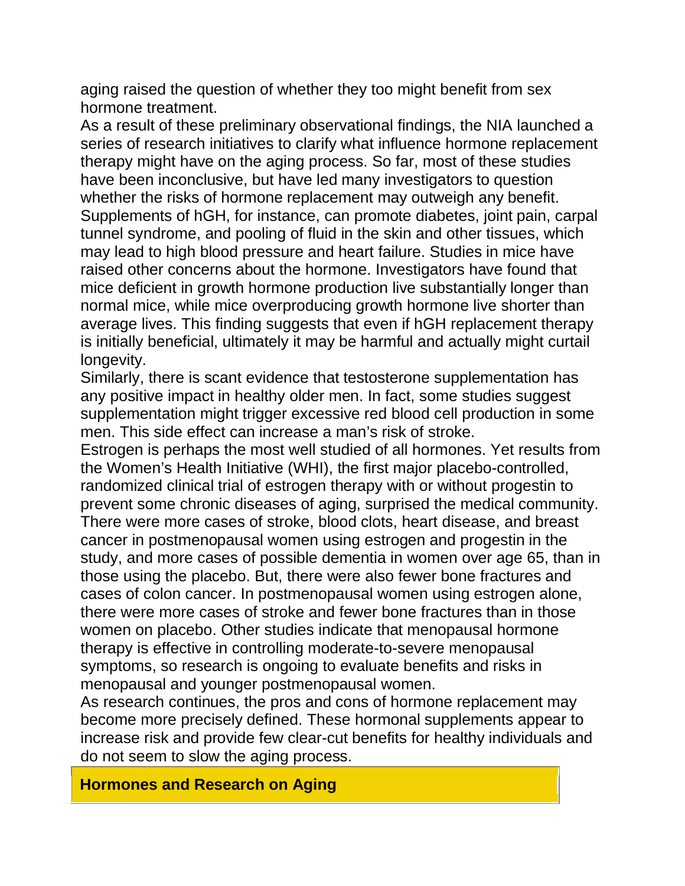aging raised the question of whether they too might benefit from sex hormone treatment.

As a result of these preliminary observational findings, the NIA launched a series of research initiatives to clarify what influence hormone replacement therapy might have on the aging process. So far, most of these studies have been inconclusive, but have led many investigators to question whether the risks of hormone replacement may outweigh any benefit. Supplements of hGH, for instance, can promote diabetes, joint pain, carpal tunnel syndrome, and pooling of fluid in the skin and other tissues, which may lead to high blood pressure and heart failure. Studies in mice have raised other concerns about the hormone. Investigators have found that mice deficient in growth hormone production live substantially longer than normal mice, while mice overproducing growth hormone live shorter than average lives. This finding suggests that even if hGH replacement therapy is initially beneficial, ultimately it may be harmful and actually might curtail longevity.

Similarly, there is scant evidence that testosterone supplementation has any positive impact in healthy older men. In fact, some studies suggest supplementation might trigger excessive red blood cell production in some men. This side effect can increase a man's risk of stroke.

Estrogen is perhaps the most well studied of all hormones. Yet results from the Women's Health Initiative (WHI), the first major placebo-controlled, randomized clinical trial of estrogen therapy with or without progestin to prevent some chronic diseases of aging, surprised the medical community. There were more cases of stroke, blood clots, heart disease, and breast cancer in postmenopausal women using estrogen and progestin in the study, and more cases of possible dementia in women over age 65, than in those using the placebo. But, there were also fewer bone fractures and cases of colon cancer. In postmenopausal women using estrogen alone, there were more cases of stroke and fewer bone fractures than in those women on placebo. Other studies indicate that menopausal hormone therapy is effective in controlling moderate-to-severe menopausal symptoms, so research is ongoing to evaluate benefits and risks in menopausal and younger postmenopausal women.

As research continues, the pros and cons of hormone replacement may become more precisely defined. These hormonal supplements appear to increase risk and provide few clear-cut benefits for healthy individuals and do not seem to slow the aging process.

## **Hormones and Research on Aging**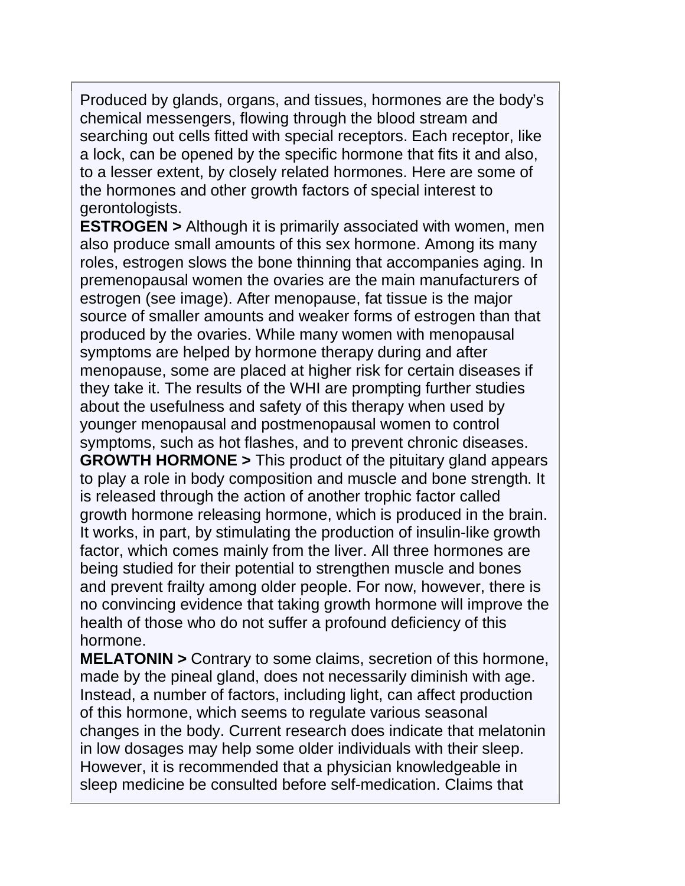Produced by glands, organs, and tissues, hormones are the body's chemical messengers, flowing through the blood stream and searching out cells fitted with special receptors. Each receptor, like a lock, can be opened by the specific hormone that fits it and also, to a lesser extent, by closely related hormones. Here are some of the hormones and other growth factors of special interest to gerontologists.

**ESTROGEN >** Although it is primarily associated with women, men also produce small amounts of this sex hormone. Among its many roles, estrogen slows the bone thinning that accompanies aging. In premenopausal women the ovaries are the main manufacturers of estrogen (see image). After menopause, fat tissue is the major source of smaller amounts and weaker forms of estrogen than that produced by the ovaries. While many women with menopausal symptoms are helped by hormone therapy during and after menopause, some are placed at higher risk for certain diseases if they take it. The results of the WHI are prompting further studies about the usefulness and safety of this therapy when used by younger menopausal and postmenopausal women to control symptoms, such as hot flashes, and to prevent chronic diseases. **GROWTH HORMONE >** This product of the pituitary gland appears to play a role in body composition and muscle and bone strength. It is released through the action of another trophic factor called growth hormone releasing hormone, which is produced in the brain. It works, in part, by stimulating the production of insulin-like growth factor, which comes mainly from the liver. All three hormones are being studied for their potential to strengthen muscle and bones and prevent frailty among older people. For now, however, there is no convincing evidence that taking growth hormone will improve the health of those who do not suffer a profound deficiency of this hormone.

**MELATONIN >** Contrary to some claims, secretion of this hormone, made by the pineal gland, does not necessarily diminish with age. Instead, a number of factors, including light, can affect production of this hormone, which seems to regulate various seasonal changes in the body. Current research does indicate that melatonin in low dosages may help some older individuals with their sleep. However, it is recommended that a physician knowledgeable in sleep medicine be consulted before self-medication. Claims that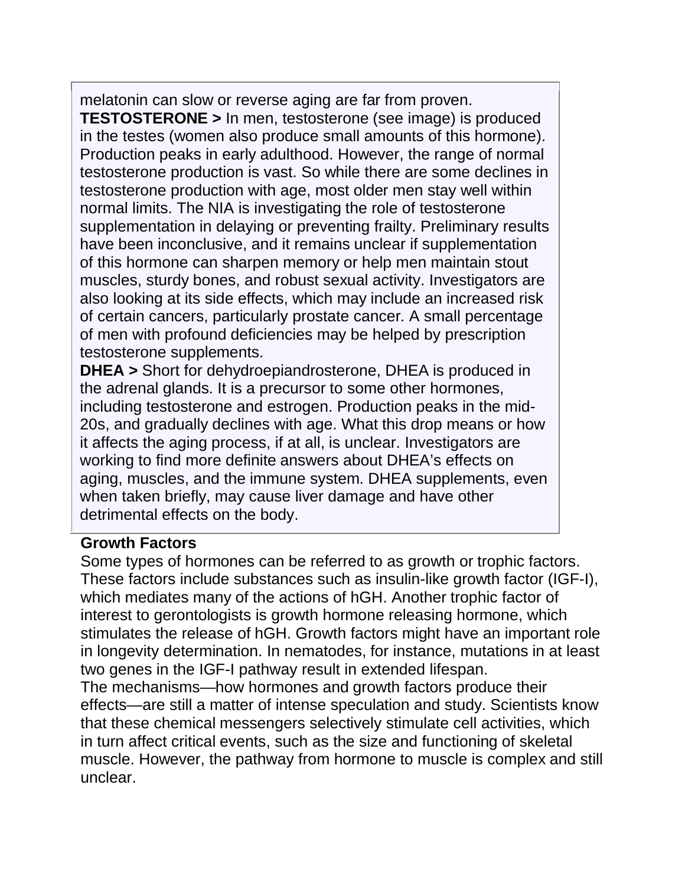melatonin can slow or reverse aging are far from proven.

**TESTOSTERONE >** In men, testosterone (see image) is produced in the testes (women also produce small amounts of this hormone). Production peaks in early adulthood. However, the range of normal testosterone production is vast. So while there are some declines in testosterone production with age, most older men stay well within normal limits. The NIA is investigating the role of testosterone supplementation in delaying or preventing frailty. Preliminary results have been inconclusive, and it remains unclear if supplementation of this hormone can sharpen memory or help men maintain stout muscles, sturdy bones, and robust sexual activity. Investigators are also looking at its side effects, which may include an increased risk of certain cancers, particularly prostate cancer. A small percentage of men with profound deficiencies may be helped by prescription testosterone supplements.

**DHEA >** Short for dehydroepiandrosterone, DHEA is produced in the adrenal glands. It is a precursor to some other hormones, including testosterone and estrogen. Production peaks in the mid-20s, and gradually declines with age. What this drop means or how it affects the aging process, if at all, is unclear. Investigators are working to find more definite answers about DHEA's effects on aging, muscles, and the immune system. DHEA supplements, even when taken briefly, may cause liver damage and have other detrimental effects on the body.

# **Growth Factors**

Some types of hormones can be referred to as growth or trophic factors. These factors include substances such as insulin-like growth factor (IGF-I), which mediates many of the actions of hGH. Another trophic factor of interest to gerontologists is growth hormone releasing hormone, which stimulates the release of hGH. Growth factors might have an important role in longevity determination. In nematodes, for instance, mutations in at least two genes in the IGF-I pathway result in extended lifespan. The mechanisms—how hormones and growth factors produce their

effects—are still a matter of intense speculation and study. Scientists know that these chemical messengers selectively stimulate cell activities, which in turn affect critical events, such as the size and functioning of skeletal muscle. However, the pathway from hormone to muscle is complex and still unclear.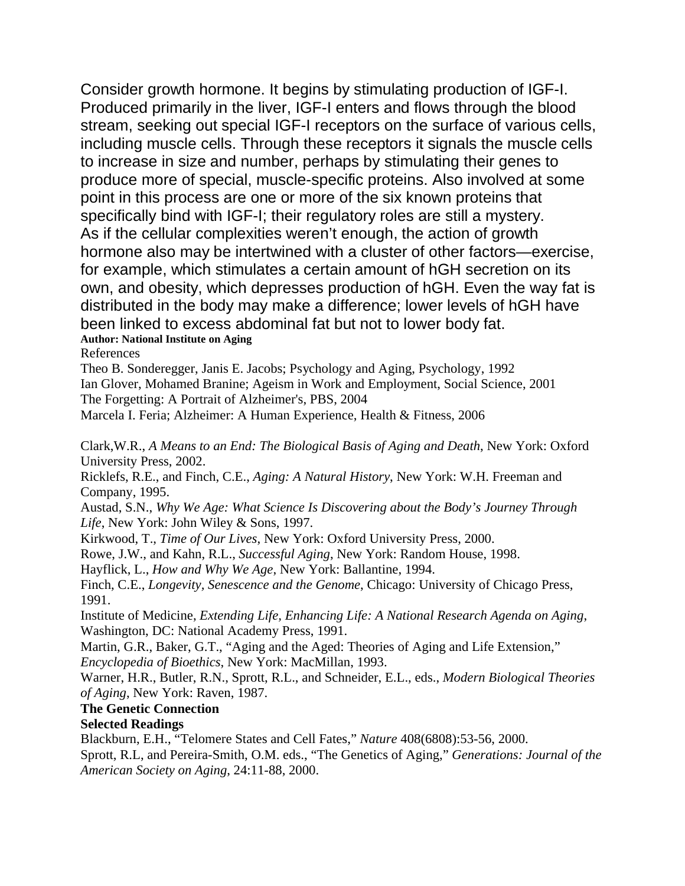Consider growth hormone. It begins by stimulating production of IGF-I. Produced primarily in the liver, IGF-I enters and flows through the blood stream, seeking out special IGF-I receptors on the surface of various cells, including muscle cells. Through these receptors it signals the muscle cells to increase in size and number, perhaps by stimulating their genes to produce more of special, muscle-specific proteins. Also involved at some point in this process are one or more of the six known proteins that specifically bind with IGF-I; their regulatory roles are still a mystery. As if the cellular complexities weren't enough, the action of growth hormone also may be intertwined with a cluster of other factors—exercise, for example, which stimulates a certain amount of hGH secretion on its own, and obesity, which depresses production of hGH. Even the way fat is distributed in the body may make a difference; lower levels of hGH have been linked to excess abdominal fat but not to lower body fat. **Author: National Institute on Aging**

References

Theo B. Sonderegger, Janis E. Jacobs; Psychology and Aging, Psychology, 1992

Ian Glover, Mohamed Branine; Ageism in Work and Employment, Social Science, 2001 The Forgetting: A Portrait of Alzheimer's, PBS, 2004

Marcela I. Feria; Alzheimer: A Human Experience, Health & Fitness, 2006

Clark,W.R., *A Means to an End: The Biological Basis of Aging and Death*, New York: Oxford University Press, 2002.

Ricklefs, R.E., and Finch, C.E., *Aging: A Natural History*, New York: W.H. Freeman and Company, 1995.

Austad, S.N., *Why We Age: What Science Is Discovering about the Body's Journey Through Life*, New York: John Wiley & Sons, 1997.

Kirkwood, T., *Time of Our Lives*, New York: Oxford University Press, 2000.

Rowe, J.W., and Kahn, R.L., *Successful Aging*, New York: Random House, 1998.

Hayflick, L., *How and Why We Age*, New York: Ballantine, 1994.

Finch, C.E., *Longevity, Senescence and the Genome*, Chicago: University of Chicago Press, 1991.

Institute of Medicine, *Extending Life, Enhancing Life: A National Research Agenda on Aging*, Washington, DC: National Academy Press, 1991.

Martin, G.R., Baker, G.T., "Aging and the Aged: Theories of Aging and Life Extension," *Encyclopedia of Bioethics*, New York: MacMillan, 1993.

Warner, H.R., Butler, R.N., Sprott, R.L., and Schneider, E.L., eds., *Modern Biological Theories of Aging*, New York: Raven, 1987.

## **The Genetic Connection**

## **Selected Readings**

Blackburn, E.H., "Telomere States and Cell Fates," *Nature* 408(6808):53-56, 2000.

Sprott, R.L, and Pereira-Smith, O.M. eds., "The Genetics of Aging," *Generations: Journal of the American Society on Aging*, 24:11-88, 2000.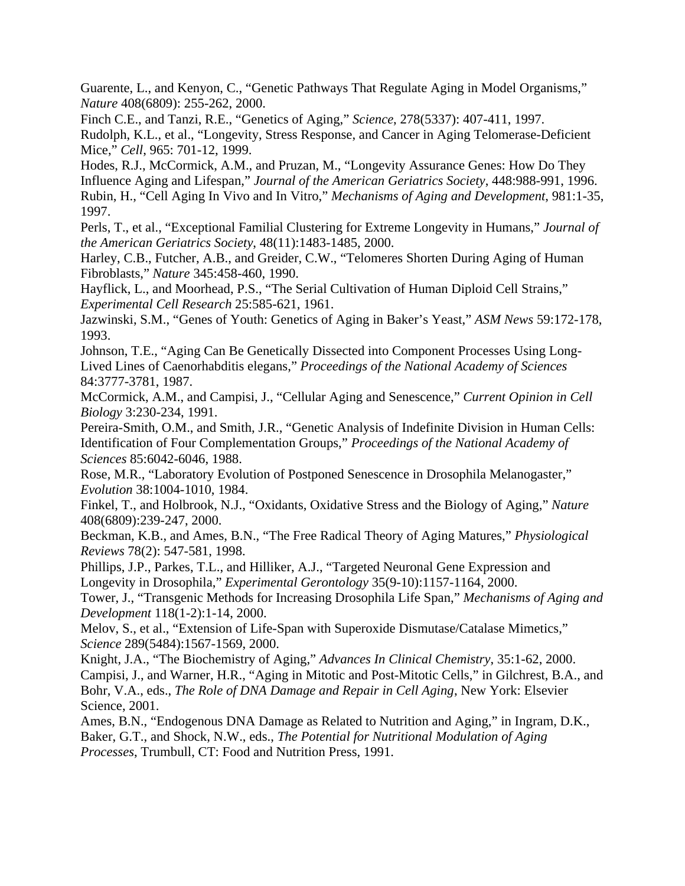Guarente, L., and Kenyon, C., "Genetic Pathways That Regulate Aging in Model Organisms," *Nature* 408(6809): 255-262, 2000.

Finch C.E., and Tanzi, R.E., "Genetics of Aging," *Science*, 278(5337): 407-411, 1997. Rudolph, K.L., et al., "Longevity, Stress Response, and Cancer in Aging Telomerase-Deficient Mice," *Cell*, 965: 701-12, 1999.

Hodes, R.J., McCormick, A.M., and Pruzan, M., "Longevity Assurance Genes: How Do They Influence Aging and Lifespan," *Journal of the American Geriatrics Society*, 448:988-991, 1996. Rubin, H., "Cell Aging In Vivo and In Vitro," *Mechanisms of Aging and Development*, 981:1-35, 1997.

Perls, T., et al., "Exceptional Familial Clustering for Extreme Longevity in Humans," *Journal of the American Geriatrics Society*, 48(11):1483-1485, 2000.

Harley, C.B., Futcher, A.B., and Greider, C.W., "Telomeres Shorten During Aging of Human Fibroblasts," *Nature* 345:458-460, 1990.

Hayflick, L., and Moorhead, P.S., "The Serial Cultivation of Human Diploid Cell Strains," *Experimental Cell Research* 25:585-621, 1961.

Jazwinski, S.M., "Genes of Youth: Genetics of Aging in Baker's Yeast," *ASM News* 59:172-178, 1993.

Johnson, T.E., "Aging Can Be Genetically Dissected into Component Processes Using Long-Lived Lines of Caenorhabditis elegans," *Proceedings of the National Academy of Sciences* 84:3777-3781, 1987.

McCormick, A.M., and Campisi, J., "Cellular Aging and Senescence," *Current Opinion in Cell Biology* 3:230-234, 1991.

Pereira-Smith, O.M., and Smith, J.R., "Genetic Analysis of Indefinite Division in Human Cells: Identification of Four Complementation Groups," *Proceedings of the National Academy of Sciences* 85:6042-6046, 1988.

Rose, M.R., "Laboratory Evolution of Postponed Senescence in Drosophila Melanogaster," *Evolution* 38:1004-1010, 1984.

Finkel, T., and Holbrook, N.J., "Oxidants, Oxidative Stress and the Biology of Aging," *Nature* 408(6809):239-247, 2000.

Beckman, K.B., and Ames, B.N., "The Free Radical Theory of Aging Matures," *Physiological Reviews* 78(2): 547-581, 1998.

Phillips, J.P., Parkes, T.L., and Hilliker, A.J., "Targeted Neuronal Gene Expression and Longevity in Drosophila," *Experimental Gerontology* 35(9-10):1157-1164, 2000.

Tower, J., "Transgenic Methods for Increasing Drosophila Life Span," *Mechanisms of Aging and Development* 118(1-2):1-14, 2000.

Melov, S., et al., "Extension of Life-Span with Superoxide Dismutase/Catalase Mimetics," *Science* 289(5484):1567-1569, 2000.

Knight, J.A., "The Biochemistry of Aging," *Advances In Clinical Chemistry*, 35:1-62, 2000. Campisi, J., and Warner, H.R., "Aging in Mitotic and Post-Mitotic Cells," in Gilchrest, B.A., and Bohr, V.A., eds., *The Role of DNA Damage and Repair in Cell Aging*, New York: Elsevier Science, 2001.

Ames, B.N., "Endogenous DNA Damage as Related to Nutrition and Aging," in Ingram, D.K., Baker, G.T., and Shock, N.W., eds., *The Potential for Nutritional Modulation of Aging Processes*, Trumbull, CT: Food and Nutrition Press, 1991.